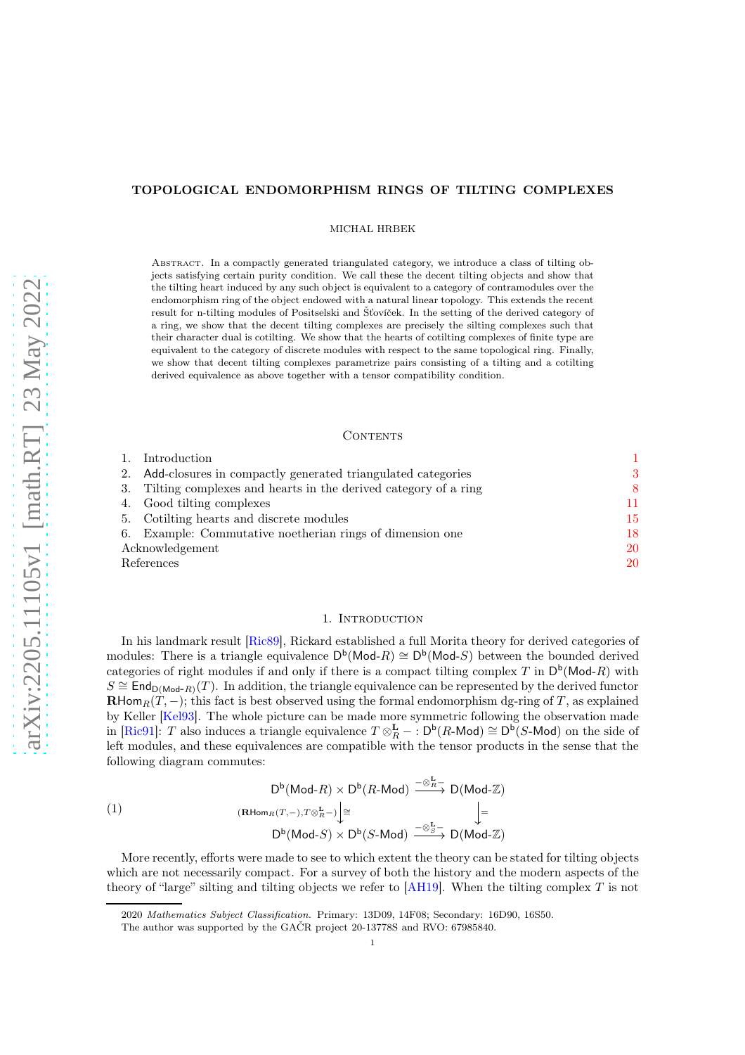## TOPOLOGICAL ENDOMORPHISM RINGS OF TILTING COMPLEXES

MICHAL HRBEK

Abstract. In a compactly generated triangulated category, we introduce a class of tilting objects satisfying certain purity condition. We call these the decent tilting objects and show that the tilting heart induced by any such object is equivalent to a category of contramodules over the endomorphism ring of the object endowed with a natural linear topology. This extends the recent result for n-tilting modules of Positselski and Šťovíček. In the setting of the derived category of a ring, we show that the decent tilting complexes are precisely the silting complexes such that their character dual is cotilting. We show that the hearts of cotilting complexes of finite type are equivalent to the category of discrete modules with respect to the same topological ring. Finally, we show that decent tilting complexes parametrize pairs consisting of a tilting and a cotilting derived equivalence as above together with a tensor compatibility condition.

### CONTENTS

| 1.              | Introduction                                                      |    |
|-----------------|-------------------------------------------------------------------|----|
|                 | 2. Add-closures in compactly generated triangulated categories    | 3  |
|                 | 3. Tilting complexes and hearts in the derived category of a ring | 8  |
|                 | 4. Good tilting complexes                                         | 11 |
|                 | 5. Cotilting hearts and discrete modules                          | 15 |
|                 | 6. Example: Commutative noetherian rings of dimension one         | 18 |
| Acknowledgement |                                                                   | 20 |
| References      |                                                                   | 20 |

### 1. Introduction

<span id="page-0-0"></span>In his landmark result [\[Ric89\]](#page-20-0), Rickard established a full Morita theory for derived categories of modules: There is a triangle equivalence  $D^b(\text{Mod-}R) \cong D^b(\text{Mod-}S)$  between the bounded derived categories of right modules if and only if there is a compact tilting complex T in  $\mathsf{D}^{\mathsf{b}}(\mathsf{Mod}\text{-}R)$  with  $S \cong \mathsf{End}_{\mathsf{D}(\mathsf{Mod}\text{-}R)}(T)$ . In addition, the triangle equivalence can be represented by the derived functor **RHom**<sub>R</sub> $(T, -)$ ; this fact is best observed using the formal endomorphism dg-ring of T, as explained by Keller [\[Kel93\]](#page-19-2). The whole picture can be made more symmetric following the observation made in [\[Ric91\]](#page-20-1): T also induces a triangle equivalence  $T \otimes_R^{\mathbf{L}} - : D^{\mathsf{b}}(R\text{-Mod}) \cong D^{\mathsf{b}}(S\text{-Mod})$  on the side of left modules, and these equivalences are compatible with the tensor products in the sense that the following diagram commutes:

<span id="page-0-1"></span>(1)  
\n
$$
D^{b}(\text{Mod-}R) \times D^{b}(R \text{-} \text{Mod}) \xrightarrow{-\otimes_{R}^{\mathbf{L}}^{-}} D(\text{Mod-}\mathbb{Z})
$$
\n
$$
(\text{RHom}_{R}(T,-), T \otimes_{R}^{\mathbf{L}}^{-}) \Big| \cong
$$
\n
$$
D^{b}(\text{Mod-}S) \times D^{b}(S \text{-} \text{Mod}) \xrightarrow{-\otimes_{S}^{\mathbf{L}}^{-}} D(\text{Mod-}\mathbb{Z})
$$

More recently, efforts were made to see to which extent the theory can be stated for tilting objects which are not necessarily compact. For a survey of both the history and the modern aspects of the theory of "large" silting and tilting objects we refer to  $[AH19]$ . When the tilting complex T is not

<sup>2020</sup> Mathematics Subject Classification. Primary: 13D09, 14F08; Secondary: 16D90, 16S50.

The author was supported by the GAČR project 20-13778S and RVO: 67985840.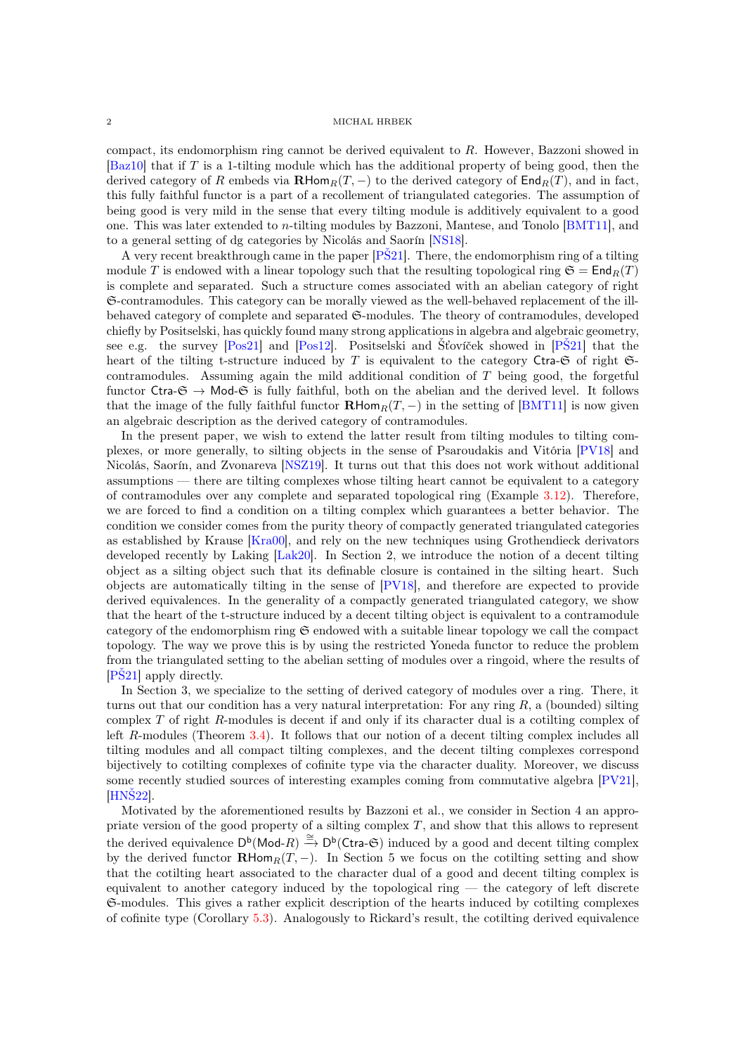compact, its endomorphism ring cannot be derived equivalent to R. However, Bazzoni showed in  $[Baz10]$  that if T is a 1-tilting module which has the additional property of being good, then the derived category of R embeds via  $\mathbf{R}\text{Hom}_R(T, -)$  to the derived category of  $\text{End}_R(T)$ , and in fact, this fully faithful functor is a part of a recollement of triangulated categories. The assumption of being good is very mild in the sense that every tilting module is additively equivalent to a good one. This was later extended to n-tilting modules by Bazzoni, Mantese, and Tonolo [\[BMT11\]](#page-19-5), and to a general setting of dg categories by Nicolás and Saorín [\[NS18\]](#page-19-6).

A very recent breakthrough came in the paper [\[PŠ21\]](#page-20-2). There, the endomorphism ring of a tilting module T is endowed with a linear topology such that the resulting topological ring  $\mathfrak{S} = \mathsf{End}_R(T)$ is complete and separated. Such a structure comes associated with an abelian category of right S-contramodules. This category can be morally viewed as the well-behaved replacement of the illbehaved category of complete and separated  $\mathfrak{S}\text{-modules}$ . The theory of contramodules, developed chiefly by Positselski, has quickly found many strong applications in algebra and algebraic geometry, see e.g. the survey [\[Pos21\]](#page-20-3) and [\[Pos12\]](#page-20-4). Positselski and Šťovíček showed in [\[PŠ21\]](#page-20-2) that the heart of the tilting t-structure induced by T is equivalent to the category Ctra- $\mathfrak{S}$  of right  $\mathfrak{S}$ contramodules. Assuming again the mild additional condition of  $T$  being good, the forgetful functor Ctra- $\mathfrak{S} \to \mathsf{Mod}\text{-}\mathfrak{S}$  is fully faithful, both on the abelian and the derived level. It follows that the image of the fully faithful functor  $\mathbf{R}$ Hom $_R(T, -)$  in the setting of [\[BMT11\]](#page-19-5) is now given an algebraic description as the derived category of contramodules.

In the present paper, we wish to extend the latter result from tilting modules to tilting complexes, or more generally, to silting objects in the sense of Psaroudakis and Vitória [\[PV18\]](#page-20-5) and Nicolás, Saorín, and Zvonareva [\[NSZ19\]](#page-20-6). It turns out that this does not work without additional assumptions — there are tilting complexes whose tilting heart cannot be equivalent to a category of contramodules over any complete and separated topological ring (Example [3.12\)](#page-10-1). Therefore, we are forced to find a condition on a tilting complex which guarantees a better behavior. The condition we consider comes from the purity theory of compactly generated triangulated categories as established by Krause [\[Kra00\]](#page-19-7), and rely on the new techniques using Grothendieck derivators developed recently by Laking [\[Lak20\]](#page-19-8). In Section 2, we introduce the notion of a decent tilting object as a silting object such that its definable closure is contained in the silting heart. Such objects are automatically tilting in the sense of [\[PV18\]](#page-20-5), and therefore are expected to provide derived equivalences. In the generality of a compactly generated triangulated category, we show that the heart of the t-structure induced by a decent tilting object is equivalent to a contramodule category of the endomorphism ring  $\mathfrak S$  endowed with a suitable linear topology we call the compact topology. The way we prove this is by using the restricted Yoneda functor to reduce the problem from the triangulated setting to the abelian setting of modules over a ringoid, where the results of [\[PŠ21\]](#page-20-2) apply directly.

In Section 3, we specialize to the setting of derived category of modules over a ring. There, it turns out that our condition has a very natural interpretation: For any ring  $R$ , a (bounded) silting complex T of right R-modules is decent if and only if its character dual is a cotilting complex of left R-modules (Theorem [3.4\)](#page-8-0). It follows that our notion of a decent tilting complex includes all tilting modules and all compact tilting complexes, and the decent tilting complexes correspond bijectively to cotilting complexes of cofinite type via the character duality. Moreover, we discuss some recently studied sources of interesting examples coming from commutative algebra [\[PV21\]](#page-20-7), [\[HNŠ22\]](#page-19-9).

Motivated by the aforementioned results by Bazzoni et al., we consider in Section 4 an appropriate version of the good property of a silting complex  $T$ , and show that this allows to represent the derived equivalence  $D^b(\text{Mod-}R) \stackrel{\cong}{\to} D^b(\text{Ctra-}G)$  induced by a good and decent tilting complex by the derived functor  $\mathbf{R}\text{Hom}_R(T, -)$ . In Section 5 we focus on the cotilting setting and show that the cotilting heart associated to the character dual of a good and decent tilting complex is equivalent to another category induced by the topological ring — the category of left discrete S-modules. This gives a rather explicit description of the hearts induced by cotilting complexes of cofinite type (Corollary [5.3\)](#page-15-0). Analogously to Rickard's result, the cotilting derived equivalence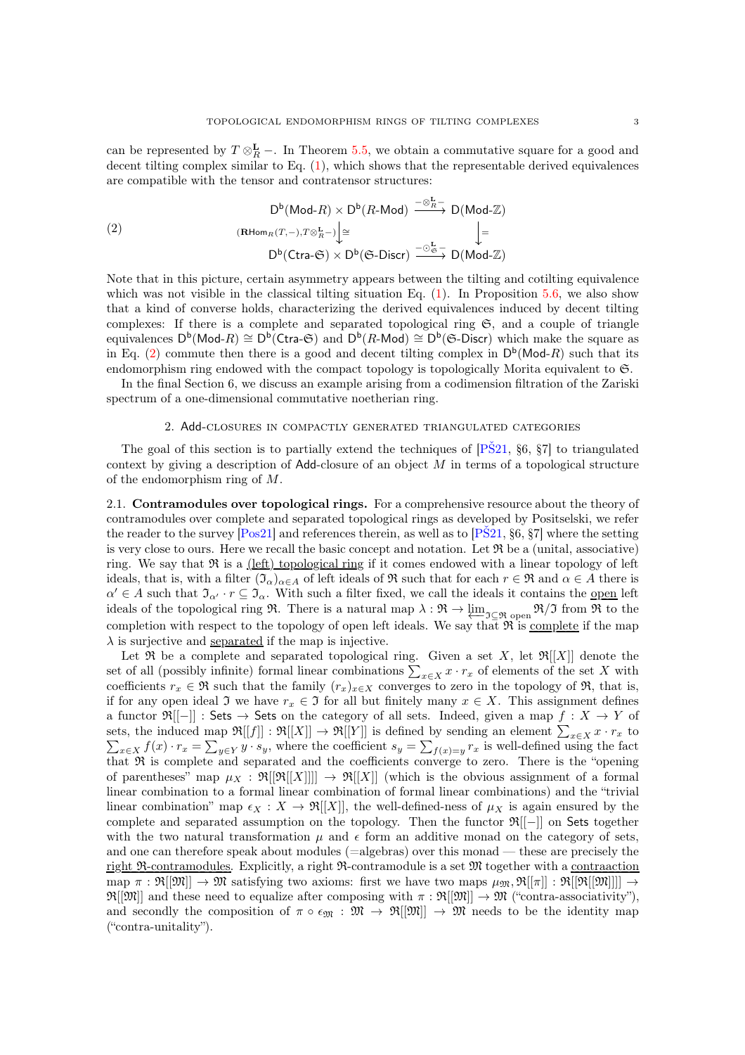can be represented by  $T \otimes_R^{\mathbf{L}}$  –. In Theorem [5.5,](#page-15-1) we obtain a commutative square for a good and decent tilting complex similar to Eq. [\(1\)](#page-0-1), which shows that the representable derived equivalences are compatible with the tensor and contratensor structures:

<span id="page-2-1"></span>
$$
D^{b}(\text{Mod-}R) \times D^{b}(R \text{-} \text{Mod}) \xrightarrow{-\otimes_{R}^{L}} D(\text{Mod-}\mathbb{Z})
$$
\n
$$
(R\text{Hom}_{R}(T,-), T\otimes_{R}^{L}-)\bigg[\cong
$$
\n
$$
D^{b}(\text{Ctra-}\mathfrak{S}) \times D^{b}(\mathfrak{S}\text{-} \text{Discr}) \xrightarrow{-\circ_{\mathfrak{S}}^{L}} D(\text{Mod-}\mathbb{Z})
$$

Note that in this picture, certain asymmetry appears between the tilting and cotilting equivalence which was not visible in the classical tilting situation Eq.  $(1)$ . In Proposition [5.6,](#page-16-0) we also show that a kind of converse holds, characterizing the derived equivalences induced by decent tilting complexes: If there is a complete and separated topological ring S, and a couple of triangle equivalences  $D^b(\text{Mod-}R) \cong D^b(\text{Ctra-}G)$  and  $D^b(R\text{-Mod}) \cong D^b(\mathfrak{S}\text{-Discr})$  which make the square as in Eq. [\(2\)](#page-2-1) commute then there is a good and decent tilting complex in  $D^b(\text{Mod-}R)$  such that its endomorphism ring endowed with the compact topology is topologically Morita equivalent to  $\mathfrak{S}$ .

<span id="page-2-0"></span>In the final Section 6, we discuss an example arising from a codimension filtration of the Zariski spectrum of a one-dimensional commutative noetherian ring.

### 2. Add-closures in compactly generated triangulated categories

The goal of this section is to partially extend the techniques of [\[PŠ21,](#page-20-2) §6, §7] to triangulated context by giving a description of  $\mathsf{Add}\text{-}closure$  of an object M in terms of a topological structure of the endomorphism ring of M.

2.1. Contramodules over topological rings. For a comprehensive resource about the theory of contramodules over complete and separated topological rings as developed by Positselski, we refer the reader to the survey  $[Pos21]$  and references therein, as well as to  $[PS21, §6, §7]$  where the setting is very close to ours. Here we recall the basic concept and notation. Let  $\Re$  be a (unital, associative) ring. We say that  $\Re$  is a (left) topological ring if it comes endowed with a linear topology of left ideals, that is, with a filter  $(\mathfrak{I}_{\alpha})_{\alpha \in A}$  of left ideals of R such that for each  $r \in \mathfrak{R}$  and  $\alpha \in A$  there is  $\alpha' \in A$  such that  $\mathfrak{I}_{\alpha'} \cdot r \subseteq \mathfrak{I}_{\alpha}$ . With such a filter fixed, we call the ideals it contains the <u>open</u> left ideals of the topological ring R. There is a natural map  $\lambda : \mathfrak{R} \to \varprojlim_{\mathfrak{I} \subseteq \mathfrak{R}} \mathfrak{g}_{\text{pen}} \mathfrak{R}/\mathfrak{I}$  from R to the completion with respect to the topology of open left ideals. We say that  $\Re$  is <u>complete</u> if the map  $\lambda$  is surjective and separated if the map is injective.

Let  $\mathfrak{R}$  be a complete and separated topological ring. Given a set X, let  $\mathfrak{R}[[X]]$  denote the set of all (possibly infinite) formal linear combinations  $\sum_{x \in X} x \cdot r_x$  of elements of the set X with coefficients  $r_x \in \mathfrak{R}$  such that the family  $(r_x)_{x \in X}$  converges to zero in the topology of  $\mathfrak{R}$ , that is, if for any open ideal  $\mathfrak{I}$  we have  $r_x \in \mathfrak{I}$  for all but finitely many  $x \in X$ . This assignment defines a functor  $\mathfrak{R}[-]]:$  Sets  $\rightarrow$  Sets on the category of all sets. Indeed, given a map  $f: X \rightarrow Y$  of sets, the induced map  $\mathfrak{R}[[f]] : \mathfrak{R}[[X]] \to \mathfrak{R}[[Y]]$  is defined by sending an element  $\sum_{x \in X} x \cdot r_x$  to  $\sum_{x \in X} f(x) \cdot r_x = \sum_{y \in Y} y \cdot s_y$ , where the coefficient  $s_y = \sum_{f(x)=y} r_x$  is well-defined using the fact that  $\Re$  is complete and separated and the coefficients converge to zero. There is the "opening" of parentheses" map  $\mu_X : \mathfrak{R}[[\mathfrak{R}[[X]]] \to \mathfrak{R}[[X]]$  (which is the obvious assignment of a formal linear combination to a formal linear combination of formal linear combinations) and the "trivial linear combination" map  $\epsilon_X : X \to \mathfrak{R}[[X]]$ , the well-defined-ness of  $\mu_X$  is again ensured by the complete and separated assumption on the topology. Then the functor R[[−]] on Sets together with the two natural transformation  $\mu$  and  $\epsilon$  form an additive monad on the category of sets, and one can therefore speak about modules (=algebras) over this monad — these are precisely the right  $\mathfrak{R}-\text{contramodules}$ . Explicitly, a right  $\mathfrak{R}-\text{contramodule}$  is a set  $\mathfrak{M}$  together with a contraaction map  $\pi : \mathfrak{R}[[\mathfrak{M}]] \to \mathfrak{M}$  satisfying two axioms: first we have two maps  $\mu_{\mathfrak{M}}, \mathfrak{R}[[\pi]] : \mathfrak{R}[[\mathfrak{M}]]]] \to$  $\mathfrak{R}[[\mathfrak{M}]]$  and these need to equalize after composing with  $\pi : \mathfrak{R}[[\mathfrak{M}]] \to \mathfrak{M}$  ("contra-associativity"), and secondly the composition of  $\pi \circ \epsilon_{\mathfrak{M}} : \mathfrak{M} \to \mathfrak{R}[[\mathfrak{M}]] \to \mathfrak{M}$  needs to be the identity map ("contra-unitality").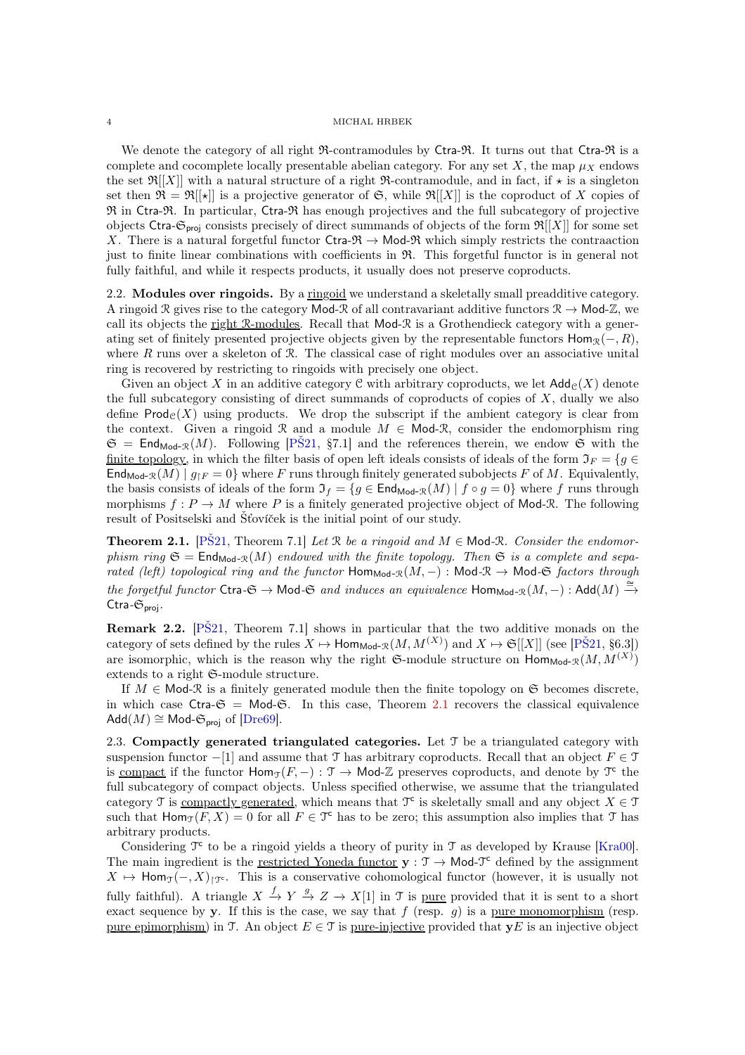We denote the category of all right  $\mathfrak{R}$ -contramodules by Ctra- $\mathfrak{R}$ . It turns out that Ctra- $\mathfrak{R}$  is a complete and cocomplete locally presentable abelian category. For any set  $X$ , the map  $\mu_X$  endows the set  $\mathfrak{R}[[X]]$  with a natural structure of a right  $\mathfrak{R}$ -contramodule, and in fact, if  $\star$  is a singleton set then  $\mathfrak{R} = \mathfrak{R}[[\star]]$  is a projective generator of  $\mathfrak{S}$ , while  $\mathfrak{R}[[X]]$  is the coproduct of X copies of  $\mathfrak{R}$  in Ctra- $\mathfrak{R}$ . In particular, Ctra- $\mathfrak{R}$  has enough projectives and the full subcategory of projective objects Ctra- $\mathfrak{S}_{\text{proj}}$  consists precisely of direct summands of objects of the form  $\mathfrak{R}[[X]]$  for some set X. There is a natural forgetful functor Ctra- $\mathfrak{R} \to \mathsf{Mod}\mathfrak{R}$  which simply restricts the contraaction just to finite linear combinations with coefficients in R. This forgetful functor is in general not fully faithful, and while it respects products, it usually does not preserve coproducts.

2.2. Modules over ringoids. By a ringoid we understand a skeletally small preadditive category. A ringoid R gives rise to the category Mod-R of all contravariant additive functors  $\mathcal{R} \to \text{Mod-}\mathbb{Z}$ , we call its objects the right R-modules. Recall that  $Mod-R$  is a Grothendieck category with a generating set of finitely presented projective objects given by the representable functors  $\text{Hom}_{\mathcal{R}}(-, R)$ , where  $R$  runs over a skeleton of  $R$ . The classical case of right modules over an associative unital ring is recovered by restricting to ringoids with precisely one object.

Given an object X in an additive category C with arbitrary coproducts, we let  $\mathsf{Add}_{\mathcal{C}}(X)$  denote the full subcategory consisting of direct summands of coproducts of copies of  $X$ , dually we also define  $\mathsf{Prod}_{\mathcal{C}}(X)$  using products. We drop the subscript if the ambient category is clear from the context. Given a ringoid R and a module  $M \in \mathsf{Mod}\mathcal{R}$ , consider the endomorphism ring  $\mathfrak{S} = \mathsf{End}_{\mathsf{Mod}\textrm{-}R}(M)$ . Following  $[P\check{S}21, \S7.1]$  and the references therein, we endow  $\mathfrak{S}$  with the finite topology, in which the filter basis of open left ideals consists of ideals of the form  $\mathfrak{I}_F = \{g \in$  $\text{End}_{\text{Mod-R}}(M) \mid g_{\restriction F} = 0$  where F runs through finitely generated subobjects F of M. Equivalently, the basis consists of ideals of the form  $\mathfrak{I}_f = \{g \in \mathsf{End}_{\mathsf{Mod}\text{-}\mathfrak{R}}(M) \mid f \circ g = 0\}$  where f runs through morphisms  $f: P \to M$  where P is a finitely generated projective object of Mod-R. The following result of Positselski and Šťovíček is the initial point of our study.

<span id="page-3-0"></span>**Theorem 2.1.** [PS21, Theorem 7.1] Let R be a ringoid and  $M \in \text{Mod-R}$ . Consider the endomor*phism ring*  $\mathfrak{S} = \text{End}_{\text{Mod-R}}(M)$  *endowed with the finite topology. Then*  $\mathfrak{S}$  *is a complete and sepa* $rated (left) topological ring and the functor  $\text{Hom}_{\text{Mod-}\mathcal{R}}(M,-): \text{Mod-}\mathcal{R} \to \text{Mod-}\mathfrak{S}~factors~through$$  $the$  *forgetful functor* Ctra $-\mathfrak{S} \to \mathsf{Mod}\mathfrak{S}$  *and induces an equivalence*  $\mathsf{Hom}_{\mathsf{Mod}\mathfrak{R}}(M, -)$  :  $\mathsf{Add}(M) \stackrel{\cong}{\to}$ Ctra*-*Sproj*.*

**Remark 2.2.** [PS21, Theorem 7.1] shows in particular that the two additive monads on the category of sets defined by the rules  $X \mapsto \text{Hom}_{\text{Mod-}\mathcal{R}}(M, M^{(X)})$  and  $X \mapsto \mathfrak{S}[[X]]$  (see [PS21, §6.3]) are isomorphic, which is the reason why the right  $\mathfrak{S}\text{-module structure on } \mathsf{Hom}_{\mathsf{Mod-R}}(M, M^{(X)})$ extends to a right S-module structure.

If  $M \in \mathsf{Mod}\textrm{-} \mathcal{R}$  is a finitely generated module then the finite topology on  $\mathfrak{S}$  becomes discrete, in which case Ctra- $\mathfrak{S} = \mathsf{Mod}\text{-}\mathfrak{S}$ . In this case, Theorem [2.1](#page-3-0) recovers the classical equivalence  $Add(M) \cong Mod\text{-}\mathfrak{S}_{\text{proj}}$  of  $[Dre69]$ .

2.3. Compactly generated triangulated categories. Let  $\mathcal T$  be a triangulated category with suspension functor  $-[1]$  and assume that T has arbitrary coproducts. Recall that an object  $F \in \mathcal{T}$ is compact if the functor  $\text{Hom}_{\mathcal{T}}(F, -) : \mathcal{T} \to \text{Mod-}\mathbb{Z}$  preserves coproducts, and denote by  $\mathcal{T}^c$  the full subcategory of compact objects. Unless specified otherwise, we assume that the triangulated category T is <u>compactly generated</u>, which means that  $\mathfrak{T}^c$  is skeletally small and any object  $X \in \mathfrak{T}$ such that  $\text{Hom}_{\mathcal{T}}(F, X) = 0$  for all  $F \in \mathcal{T}^c$  has to be zero; this assumption also implies that  $\mathcal{T}$  has arbitrary products.

Considering  $\mathcal{T}^c$  to be a ringoid yields a theory of purity in  $\mathcal{T}$  as developed by Krause [\[Kra00\]](#page-19-7). The main ingredient is the <u>restricted Yoneda functor</u>  $y : T \to \mathsf{Mod}\mathcal{T}^c$  defined by the assignment  $X \mapsto \text{Hom}_{\mathcal{T}}(-, X)_{\mathcal{T}^c}$ . This is a conservative cohomological functor (however, it is usually not fully faithful). A triangle  $X \xrightarrow{f} Y \xrightarrow{g} Z \to X[1]$  in T is <u>pure</u> provided that it is sent to a short exact sequence by y. If this is the case, we say that f (resp.  $g$ ) is a pure monomorphism (resp. pure epimorphism) in T. An object  $E \in \mathcal{T}$  is pure-injective provided that  $yE$  is an injective object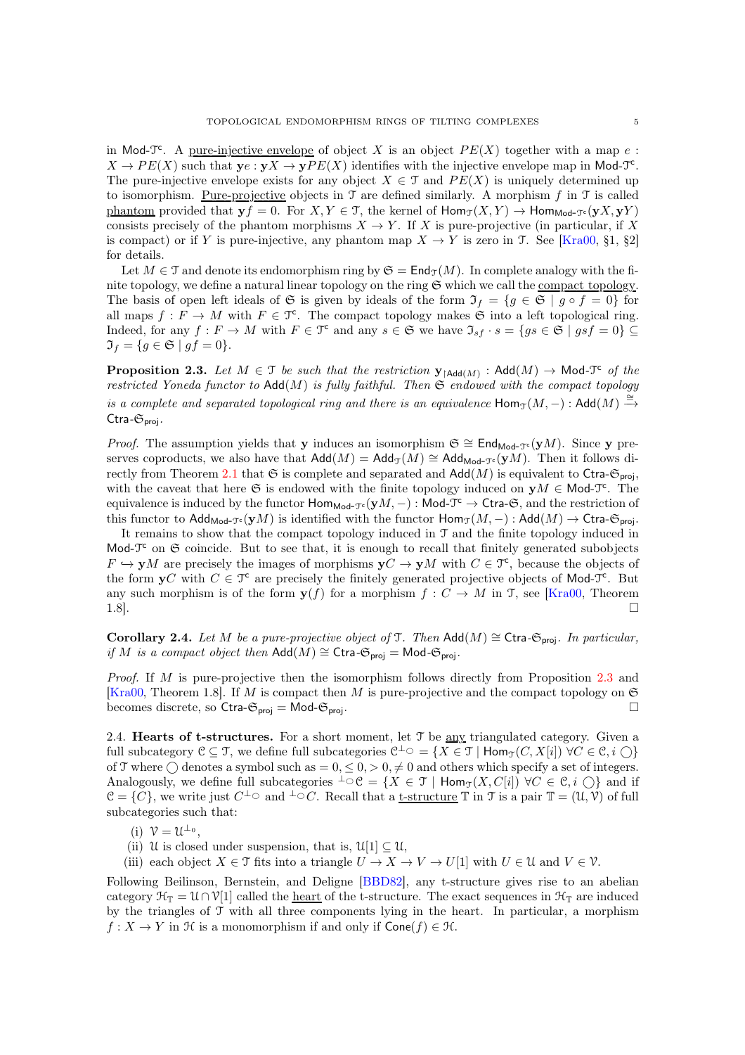in Mod-T<sup>c</sup>. A <u>pure-injective envelope</u> of object X is an object  $PE(X)$  together with a map e:  $X \to PE(X)$  such that  $y \in Y \to yPE(X)$  identifies with the injective envelope map in Mod- $\mathfrak{T}^c$ . The pure-injective envelope exists for any object  $X \in \mathcal{T}$  and  $PE(X)$  is uniquely determined up to isomorphism. <u>Pure-projective</u> objects in  $\mathcal T$  are defined similarly. A morphism f in  $\mathcal T$  is called phantom provided that  $y f = 0$ . For  $X, Y \in \mathcal{T}$ , the kernel of  $\text{Hom}_{\mathcal{T}}(X, Y) \to \text{Hom}_{\text{Mod-}\mathcal{T}^c}(yX, yY)$ consists precisely of the phantom morphisms  $X \to Y$ . If X is pure-projective (in particular, if X is compact) or if Y is pure-injective, any phantom map  $X \to Y$  is zero in T. See [\[Kra00,](#page-19-7) §1, §2] for details.

Let  $M \in \mathcal{T}$  and denote its endomorphism ring by  $\mathfrak{S} = \text{End}_{\mathcal{T}}(M)$ . In complete analogy with the finite topology, we define a natural linear topology on the ring  $\mathfrak{S}$  which we call the compact topology. The basis of open left ideals of G is given by ideals of the form  $\mathfrak{I}_f = \{g \in \mathfrak{S} \mid g \circ f = 0\}$  for all maps  $f: F \to M$  with  $F \in \mathfrak{T}^{\mathsf{c}}$ . The compact topology makes  $\mathfrak{S}$  into a left topological ring. Indeed, for any  $f: F \to M$  with  $F \in \mathfrak{T}^c$  and any  $s \in \mathfrak{S}$  we have  $\mathfrak{I}_{sf} \cdot s = \{gs \in \mathfrak{S} \mid gsf = 0\} \subseteq$  $\mathfrak{I}_f = \{ g \in \mathfrak{S} \mid gf = 0 \}.$ 

<span id="page-4-0"></span>**Proposition 2.3.** Let  $M \in \mathcal{T}$  be such that the restriction  $\mathbf{y}_{\restriction Add(M)}$  : Add $(M) \to Mod\text{-}\mathcal{T}^c$  of the *restricted Yoneda functor to*  $\text{Add}(M)$  *is fully faithful. Then*  $\mathfrak{S}$  *endowed with the compact topology is a complete and separated topological ring and there is an equivalence*  $\mathsf{Hom}_{\mathfrak{T}}(M, -)$  :  $\mathsf{Add}(M) \stackrel{\cong}{\rightarrow}$ Ctra*-*Sproj*.*

*Proof.* The assumption yields that y induces an isomorphism  $\mathfrak{S} \cong \mathsf{End}_{\mathsf{Mod}\text{-}\mathfrak{I}^c}(\mathbf{y}M)$ . Since y preserves coproducts, we also have that  $\text{Add}(M) = \text{Add}_{\mathfrak{I}}(M) \cong \text{Add}_{\text{Mod}\text{-}\mathfrak{I}^c}(\mathbf{y}M)$ . Then it follows di-rectly from Theorem [2.1](#page-3-0) that  $\mathfrak S$  is complete and separated and  $\operatorname{Add}(M)$  is equivalent to Ctra- $\mathfrak S_{\text{proj}}$ , with the caveat that here G is endowed with the finite topology induced on  $yM \in Mod-T^c$ . The equivalence is induced by the functor  $\text{Hom}_{\text{Mod-}\mathcal{T}^c}(\mathbf{y}M,-)$  : Mod- $\mathcal{T}^c \to \text{Ctra-}\mathfrak{S}$ , and the restriction of this functor to Add<sub>Mod-T</sub>c (yM) is identified with the functor  $\text{Hom}_{\mathcal{T}}(M, -)$ : Add $(M) \to \text{Ctra-G}_{\text{proj}}$ .

It remains to show that the compact topology induced in T and the finite topology induced in Mod- $T<sup>c</sup>$  on  $\Im$  coincide. But to see that, it is enough to recall that finitely generated subobjects  $F \hookrightarrow yM$  are precisely the images of morphisms  $yC \to yM$  with  $C \in \mathcal{T}^c$ , because the objects of the form  $yC$  with  $C \in \mathcal{T}^c$  are precisely the finitely generated projective objects of Mod- $\mathcal{T}^c$ . But any such morphism is of the form  $y(f)$  for a morphism  $f: C \to M$  in T, see [\[Kra00,](#page-19-7) Theorem 1.8].

Corollary 2.4. *Let M be a pure-projective object of*  $\mathcal{T}$ *. Then* Add(*M*) ≅ Ctra- $\mathfrak{S}_{proj}$ *. In particular, if* M *is a compact object then*  $Add(M) \cong \text{Ctra-G}_{proj} = Mod\text{-}G_{proj}$ .

*Proof.* If M is pure-projective then the isomorphism follows directly from Proposition [2.3](#page-4-0) and [\[Kra00,](#page-19-7) Theorem 1.8]. If M is compact then M is pure-projective and the compact topology on  $\mathfrak{S}$ becomes discrete, so Ctra- $\mathfrak{S}_{proj} = \mathsf{Mod}\text{-}\mathfrak{S}_{proj}$ .

2.4. **Hearts of t-structures.** For a short moment, let  $\mathcal{T}$  be <u>any</u> triangulated category. Given a full subcategory  $\mathcal{C} \subseteq \mathcal{T}$ , we define full subcategories  $\mathcal{C}^{\perp} \circlearrowright = \{X \in \mathcal{T} \mid \mathsf{Hom}_{\mathcal{T}}(C, X[i]) \; \forall C \in \mathcal{C}, i \bigcirclearrowright\}$ of T where  $\bigcirc$  denotes a symbol such as = 0,  $\leq$  0,  $>$  0,  $\neq$  0 and others which specify a set of integers. Analogously, we define full subcategories  ${}^{\perp} \circ \mathcal{C} = \{X \in \mathcal{T} \mid \text{Hom}_{\mathcal{T}}(X, C[i]) \,\forall C \in \mathcal{C}, i \cap \}$  and if  $\mathcal{C} = \{C\}$ , we write just  $C^{\perp} \circ \text{ and } \perp \circ C$ . Recall that a <u>t-structure</u>  $\mathbb T$  in  $\mathcal T$  is a pair  $\mathbb T = (\mathcal{U}, \mathcal{V})$  of full subcategories such that:

- (i)  $V = U^{\perp_0}$ ,
- (ii) U is closed under suspension, that is,  $\mathfrak{U}[1] \subseteq \mathfrak{U}$ ,
- (iii) each object  $X \in \mathcal{T}$  fits into a triangle  $U \to X \to V \to U[1]$  with  $U \in \mathcal{U}$  and  $V \in \mathcal{V}$ .

Following Beilinson, Bernstein, and Deligne [\[BBD82\]](#page-19-11), any t-structure gives rise to an abelian category  $\mathcal{H}_{\mathbb{T}} = \mathcal{U} \cap \mathcal{V}[1]$  called the <u>heart</u> of the t-structure. The exact sequences in  $\mathcal{H}_{\mathbb{T}}$  are induced by the triangles of T with all three components lying in the heart. In particular, a morphism  $f: X \to Y$  in  $\mathcal H$  is a monomorphism if and only if  $Cone(f) \in \mathcal H$ .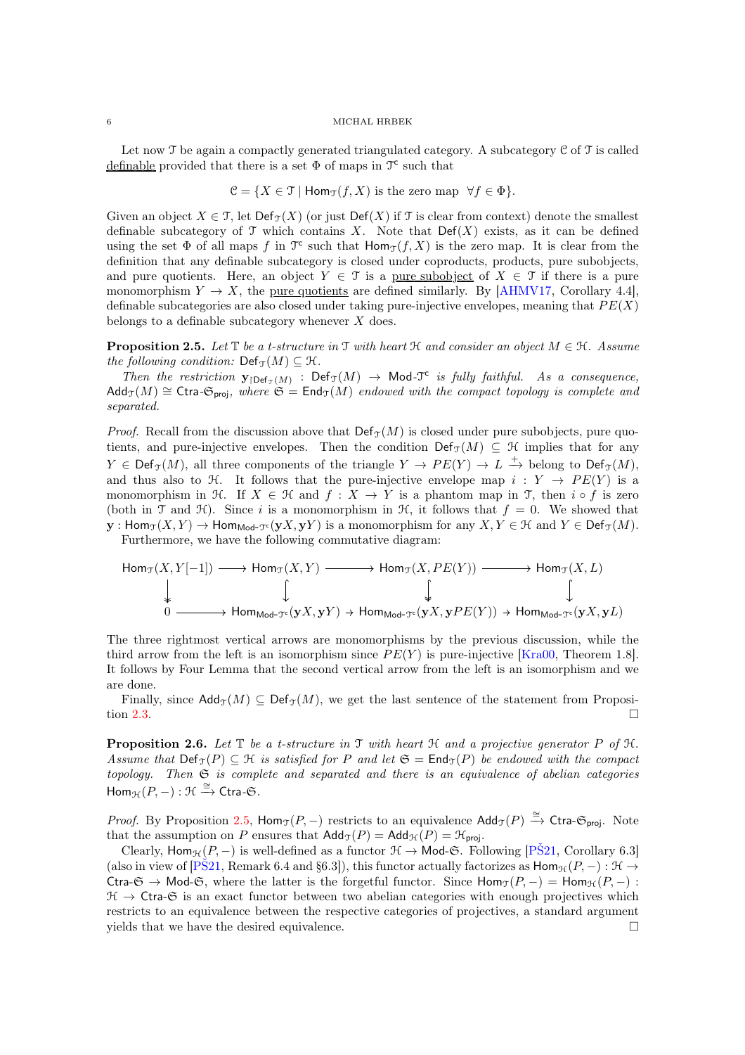Let now  $\mathcal T$  be again a compactly generated triangulated category. A subcategory  $\mathfrak C$  of  $\mathcal T$  is called definable provided that there is a set  $\Phi$  of maps in  $\mathcal{T}^c$  such that

$$
\mathcal{C} = \{ X \in \mathcal{T} \mid \text{Hom}_{\mathcal{T}}(f, X) \text{ is the zero map } \forall f \in \Phi \}.
$$

Given an object  $X \in \mathcal{T}$ , let  $\text{Def}_{\mathcal{T}}(X)$  (or just  $\text{Def}(X)$  if  $\mathcal{T}$  is clear from context) denote the smallest definable subcategory of  $\mathcal T$  which contains X. Note that  $Def(X)$  exists, as it can be defined using the set  $\Phi$  of all maps f in  $\mathfrak{T}^{\mathsf{c}}$  such that  $\mathsf{Hom}_{\mathfrak{T}}(f,X)$  is the zero map. It is clear from the definition that any definable subcategory is closed under coproducts, products, pure subobjects, and pure quotients. Here, an object  $Y \in \mathcal{T}$  is a <u>pure subobject</u> of  $X \in \mathcal{T}$  if there is a pure monomorphism  $Y \to X$ , the pure quotients are defined similarly. By [\[AHMV17,](#page-19-12) Corollary 4.4], definable subcategories are also closed under taking pure-injective envelopes, meaning that  $PE(X)$ belongs to a definable subcategory whenever  $X$  does.

<span id="page-5-0"></span>**Proposition 2.5.** *Let*  $\mathbb{T}$  *be a t-structure in*  $\mathbb{T}$  *with heart*  $\mathcal{H}$  *and consider an object*  $M \in \mathcal{H}$ *. Assume the following condition:*  $Def_{\mathcal{T}}(M) \subseteq \mathcal{H}$ .

Then the restriction  $y_{\text{def}_{\mathcal{T}}(M)}$  : Def $_{\mathcal{T}}(M) \to \text{Mod}_{\mathcal{T}}^c$  is fully faithful. As a consequence,  $\text{Add}_{\mathcal{T}}(M) \cong \text{Ctra-G}_{\text{proj}}$ , where  $\mathfrak{S} = \text{End}_{\mathcal{T}}(M)$  endowed with the compact topology is complete and *separated.*

*Proof.* Recall from the discussion above that  $\text{Def}_{\mathcal{T}}(M)$  is closed under pure subobjects, pure quotients, and pure-injective envelopes. Then the condition Def<sub>T</sub>(M)  $\subseteq$  H implies that for any  $Y \in \text{Def}_{\mathfrak{I}}(M)$ , all three components of the triangle  $Y \to PE(Y) \to L \xrightarrow{+}$  belong to  $\text{Def}_{\mathfrak{I}}(M)$ , and thus also to  $\mathcal H$ . It follows that the pure-injective envelope map  $i: Y \to PE(Y)$  is a monomorphism in H. If  $X \in \mathcal{H}$  and  $f : X \to Y$  is a phantom map in T, then i  $\circ f$  is zero (both in T and H). Since i is a monomorphism in H, it follows that  $f = 0$ . We showed that  $y: \text{Hom}_{\mathcal{T}}(X, Y) \to \text{Hom}_{\text{Mod-}\mathcal{T}^c}(yX, yY)$  is a monomorphism for any  $X, Y \in \mathcal{H}$  and  $Y \in \text{Def}_{\mathcal{T}}(M)$ .

Furthermore, we have the following commutative diagram:

$$
\begin{array}{ccc}\n\operatorname{Hom}_{\mathfrak{T}}(X,Y[-1]) & \longrightarrow \operatorname{Hom}_{\mathfrak{T}}(X,Y) & \longrightarrow & \operatorname{Hom}_{\mathfrak{T}}(X,PE(Y)) & \longrightarrow & \operatorname{Hom}_{\mathfrak{T}}(X,L) \\
\downarrow & \qquad \qquad \downarrow & \qquad \qquad \downarrow & \qquad \qquad \downarrow & \qquad \qquad \downarrow \\
0 & \longrightarrow & \operatorname{Hom}_{\operatorname{Mod}\text{-}\mathfrak{T}^c}(\mathbf{y}X,\mathbf{y}Y) & \rightarrow & \operatorname{Hom}_{\operatorname{Mod}\text{-}\mathfrak{T}^c}(\mathbf{y}X,\mathbf{y}PE(Y)) & \rightarrow & \operatorname{Hom}_{\operatorname{Mod}\text{-}\mathfrak{T}^c}(\mathbf{y}X,\mathbf{y}L)\n\end{array}
$$

The three rightmost vertical arrows are monomorphisms by the previous discussion, while the third arrow from the left is an isomorphism since  $PE(Y)$  is pure-injective [\[Kra00,](#page-19-7) Theorem 1.8]. It follows by Four Lemma that the second vertical arrow from the left is an isomorphism and we are done.

Finally, since  $\mathsf{Add}_{\mathcal{T}}(M) \subseteq \mathsf{Def}_{\mathcal{T}}(M)$ , we get the last sentence of the statement from Proposi-tion [2.3.](#page-4-0)

**Proposition 2.6.** Let  $\mathbb{T}$  be a t-structure in  $\mathbb{T}$  with heart  $\mathbb{H}$  and a projective generator P of  $\mathbb{H}$ . *Assume that*  $Def_{\mathcal{T}}(P) \subseteq \mathcal{H}$  *is satisfied for* P *and let*  $\mathfrak{S} = \mathsf{End}_{\mathcal{T}}(P)$  *be endowed with the compact topology. Then* S *is complete and separated and there is an equivalence of abelian categories*  $Hom_{\mathcal{H}}(P,-): \mathcal{H} \xrightarrow{\cong} \mathsf{Ctra}\text{-}\mathfrak{S}.$ 

*Proof.* By Proposition [2.5,](#page-5-0) Hom<sub>T</sub>( $P$ , −) restricts to an equivalence  $\text{Add}_{\mathcal{T}}(P) \stackrel{\cong}{\rightarrow} \text{Ctra-G}_{proj.}$  Note that the assumption on P ensures that  $\mathsf{Add}_{\mathcal{T}}(P) = \mathsf{Add}_{\mathcal{H}}(P) = \mathcal{H}_{\mathsf{proj}}$ .

Clearly, Hom<sub>H</sub>(P, −) is well-defined as a functor  $\mathcal{H} \to \mathsf{Mod}\text{-}\mathfrak{S}$ . Following [\[PŠ21,](#page-20-2) Corollary 6.3] (also in view of [PS21, Remark 6.4 and §6.3]), this functor actually factorizes as  $\text{Hom}_{\mathcal{H}}(P, -): \mathcal{H} \to$ Ctra- $\mathfrak{S} \to \mathsf{Mod}\text{-}\mathfrak{S}$ , where the latter is the forgetful functor. Since  $\mathsf{Hom}_{\mathfrak{T}}(P,-) = \mathsf{Hom}_{\mathfrak{H}}(P,-)$ :  $\mathcal{H} \to \mathsf{C}$ tra- $\mathfrak{S}$  is an exact functor between two abelian categories with enough projectives which restricts to an equivalence between the respective categories of projectives, a standard argument yields that we have the desired equivalence.  $\Box$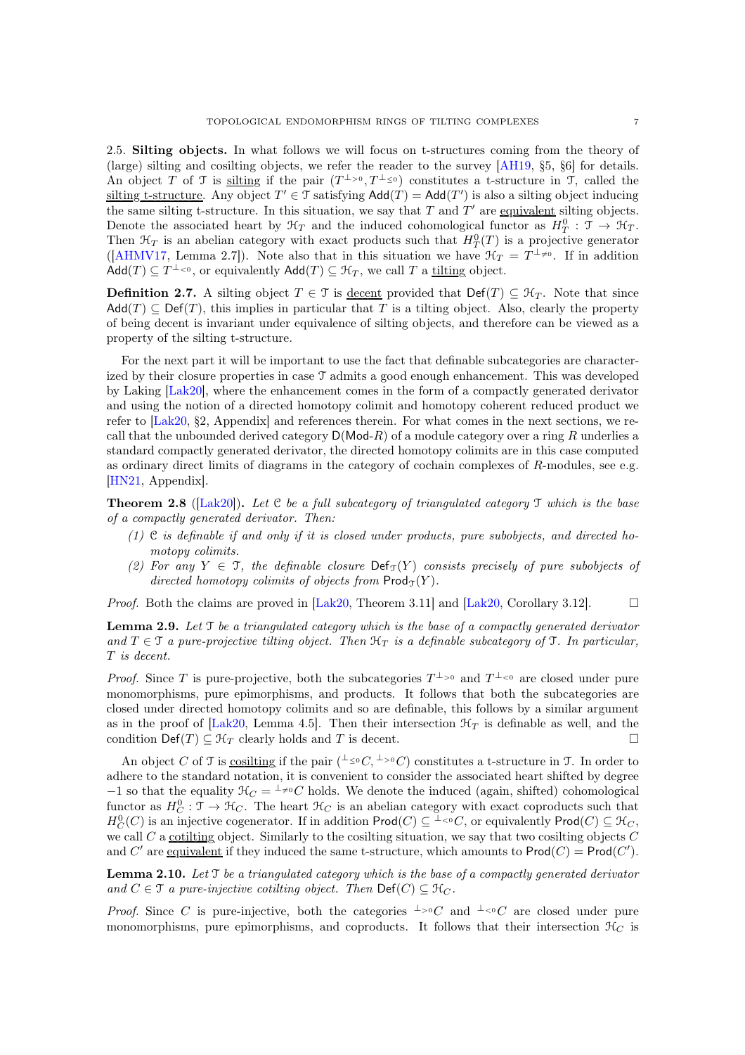2.5. Silting objects. In what follows we will focus on t-structures coming from the theory of (large) silting and cosilting objects, we refer the reader to the survey [\[AH19,](#page-19-3) §5, §6] for details. An object T of T is silting if the pair  $(T^{\perp_{>0}}, T^{\perp_{\leq 0}})$  constitutes a t-structure in T, called the silting t-structure. Any object  $T' \in \mathcal{T}$  satisfying  $\mathsf{Add}(T) = \mathsf{Add}(T')$  is also a silting object inducing the same silting t-structure. In this situation, we say that  $T$  and  $T'$  are equivalent silting objects. Denote the associated heart by  $\mathcal{H}_T$  and the induced cohomological functor as  $H_T^0$ :  $\mathcal{T} \to \mathcal{H}_T$ . Then  $\mathcal{H}_T$  is an abelian category with exact products such that  $H_T^0(T)$  is a projective generator ([\[AHMV17,](#page-19-12) Lemma 2.7]). Note also that in this situation we have  $\mathcal{H}_T = T^{\perp_{\neq 0}}$ . If in addition  $\mathsf{Add}(T) \subseteq T^{\perp_{< 0}},$  or equivalently  $\mathsf{Add}(T) \subseteq \mathcal{H}_T$ , we call T a <u>tilting</u> object.

**Definition 2.7.** A silting object  $T \in \mathcal{T}$  is <u>decent</u> provided that Def(T)  $\subseteq \mathcal{H}_T$ . Note that since  $\mathsf{Add}(T) \subseteq \mathsf{Def}(T)$ , this implies in particular that T is a tilting object. Also, clearly the property of being decent is invariant under equivalence of silting objects, and therefore can be viewed as a property of the silting t-structure.

For the next part it will be important to use the fact that definable subcategories are characterized by their closure properties in case T admits a good enough enhancement. This was developed by Laking [\[Lak20\]](#page-19-8), where the enhancement comes in the form of a compactly generated derivator and using the notion of a directed homotopy colimit and homotopy coherent reduced product we refer to [\[Lak20,](#page-19-8) §2, Appendix] and references therein. For what comes in the next sections, we recall that the unbounded derived category  $D(\text{Mod-}R)$  of a module category over a ring R underlies a standard compactly generated derivator, the directed homotopy colimits are in this case computed as ordinary direct limits of diagrams in the category of cochain complexes of  $R$ -modules, see e.g. [\[HN21,](#page-19-13) Appendix].

<span id="page-6-0"></span>Theorem 2.8 ([\[Lak20\]](#page-19-8)). *Let* C *be a full subcategory of triangulated category* T *which is the base of a compactly generated derivator. Then:*

- *(1)* C *is definable if and only if it is closed under products, pure subobjects, and directed homotopy colimits.*
- (2) For any  $Y \in \mathcal{T}$ , the definable closure  $\text{Def}_{\mathcal{T}}(Y)$  consists precisely of pure subobjects of *directed homotopy colimits of objects from*  $\mathsf{Prod}_{\mathcal{T}}(Y)$ *.*

<span id="page-6-1"></span>*Proof.* Both the claims are proved in  $[Lak20, Theorem 3.11]$  and  $[Lak20, Corollary 3.12]$ .

Lemma 2.9. *Let* T *be a triangulated category which is the base of a compactly generated derivator* and  $T \in \mathcal{T}$  *a pure-projective tilting object. Then*  $\mathcal{H}_T$  *is a definable subcategory of*  $\mathcal{T}$ *. In particular,* T *is decent.*

*Proof.* Since T is pure-projective, both the subcategories  $T^{\perp_{>0}}$  and  $T^{\perp_{<0}}$  are closed under pure monomorphisms, pure epimorphisms, and products. It follows that both the subcategories are closed under directed homotopy colimits and so are definable, this follows by a similar argument as in the proof of [\[Lak20,](#page-19-8) Lemma 4.5]. Then their intersection  $\mathcal{H}_T$  is definable as well, and the condition  $\text{Def}(T) \subseteq \mathcal{H}_T$  clearly holds and T is decent.

An object C of T is cosilting if the pair  $($ <sup> $\perp$ </sup> $\leq$ <sup>0</sup> $C$ , <sup> $\perp$ </sup> $>$ <sup>0</sup> $C$ ) constitutes a t-structure in T. In order to adhere to the standard notation, it is convenient to consider the associated heart shifted by degree  $-1$  so that the equality  $\mathcal{H}_C = \perp^{\perp} \neq 0$  cohomological cohomological functor as  $H_C^0$ :  $\mathcal{T} \to \mathcal{H}_C$ . The heart  $\mathcal{H}_C$  is an abelian category with exact coproducts such that  $H_C^0(C)$  is an injective cogenerator. If in addition  $\mathsf{Prod}(C) \subseteq {}^{\perp_{\leq 0}}C$ , or equivalently  $\mathsf{Prod}(C) \subseteq {}^{\mathcal{H}_C}$ , we call  $C$  a cotilting object. Similarly to the cosilting situation, we say that two cosilting objects  $C$ and C' are equivalent if they induced the same t-structure, which amounts to  $\text{Prod}(C) = \text{Prod}(C')$ .

<span id="page-6-2"></span>Lemma 2.10. *Let* T *be a triangulated category which is the base of a compactly generated derivator and*  $C \in \mathcal{T}$  *a pure-injective cotilting object. Then*  $\text{Def}(C) \subseteq \mathcal{H}_C$ *.* 

*Proof.* Since C is pure-injective, both the categories  $\perp$ ><sup>0</sup>C and  $\perp$  <0C are closed under pure monomorphisms, pure epimorphisms, and coproducts. It follows that their intersection  $\mathcal{H}_C$  is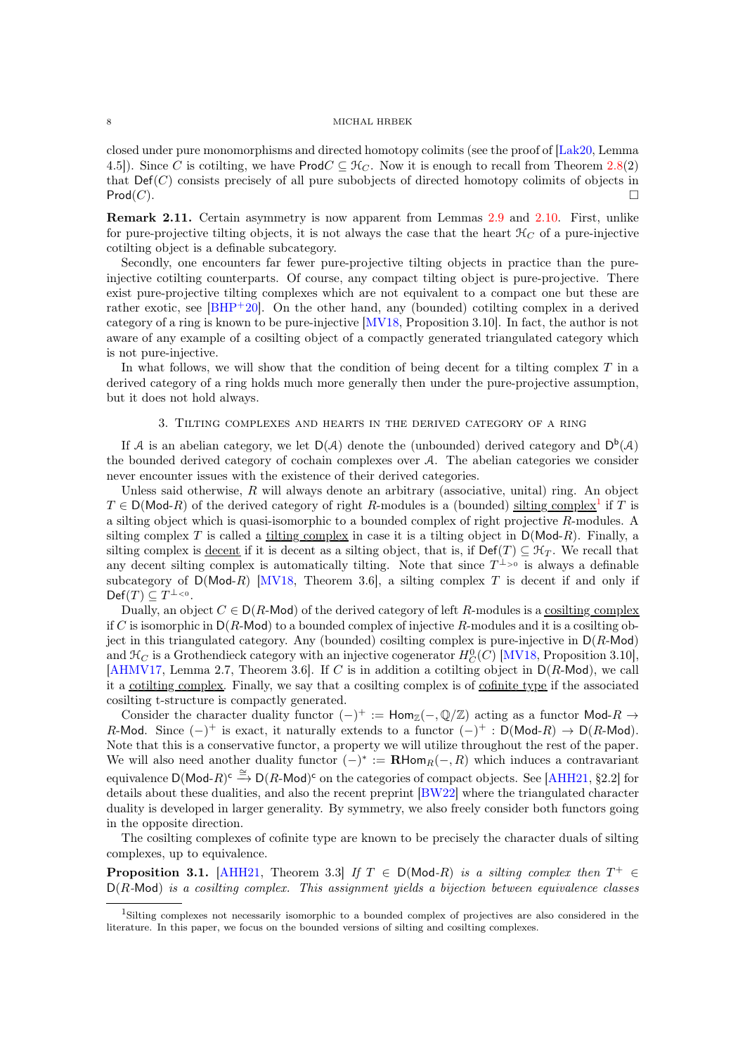closed under pure monomorphisms and directed homotopy colimits (see the proof of [\[Lak20,](#page-19-8) Lemma 4.5]). Since C is cotilting, we have ProdC  $\subseteq$   $\mathcal{H}_C$ . Now it is enough to recall from Theorem [2.8\(](#page-6-0)2) that  $Def(C)$  consists precisely of all pure subobjects of directed homotopy colimits of objects in  $\mathsf{Prod}(C).$ 

Remark 2.11. Certain asymmetry is now apparent from Lemmas [2.9](#page-6-1) and [2.10.](#page-6-2) First, unlike for pure-projective tilting objects, it is not always the case that the heart  $\mathcal{H}_C$  of a pure-injective cotilting object is a definable subcategory.

Secondly, one encounters far fewer pure-projective tilting objects in practice than the pureinjective cotilting counterparts. Of course, any compact tilting object is pure-projective. There exist pure-projective tilting complexes which are not equivalent to a compact one but these are rather exotic, see [\[BHP](#page-19-14)<sup>+</sup>20]. On the other hand, any (bounded) cotilting complex in a derived category of a ring is known to be pure-injective [\[MV18,](#page-19-15) Proposition 3.10]. In fact, the author is not aware of any example of a cosilting object of a compactly generated triangulated category which is not pure-injective.

In what follows, we will show that the condition of being decent for a tilting complex  $T$  in a derived category of a ring holds much more generally then under the pure-projective assumption, but it does not hold always.

### 3. Tilting complexes and hearts in the derived category of a ring

<span id="page-7-0"></span>If A is an abelian category, we let  $D(\mathcal{A})$  denote the (unbounded) derived category and  $D^b(\mathcal{A})$ the bounded derived category of cochain complexes over A. The abelian categories we consider never encounter issues with the existence of their derived categories.

Unless said otherwise,  $R$  will always denote an arbitrary (associative, unital) ring. An object  $T \in D(\text{Mod-}R)$  of the derived category of right R-modules is a (bounded) silting complex<sup>[1](#page-7-1)</sup> if T is a silting object which is quasi-isomorphic to a bounded complex of right projective R-modules. A silting complex T is called a tilting complex in case it is a tilting object in  $D(\text{Mod-}R)$ . Finally, a silting complex is <u>decent</u> if it is decent as a silting object, that is, if  $\text{Def}(T) \subseteq \mathcal{H}_T$ . We recall that any decent silting complex is automatically tilting. Note that since  $T^{\perp_{>0}}$  is always a definable subcategory of  $D(Mod-R)$  [\[MV18,](#page-19-15) Theorem 3.6], a silting complex T is decent if and only if  $\mathsf{Def}(T) \subseteq T^{\perp_{< 0}}.$ 

Dually, an object  $C \in D(R\text{-Mod})$  of the derived category of left R-modules is a cosilting complex if C is isomorphic in  $D(R\text{-Mod})$  to a bounded complex of injective R-modules and it is a cosilting object in this triangulated category. Any (bounded) cosilting complex is pure-injective in  $D(R\text{-Mod})$ and  $\mathcal{H}_C$  is a Grothendieck category with an injective cogenerator  $H_C^0(C)$  [\[MV18,](#page-19-15) Proposition 3.10], [\[AHMV17,](#page-19-12) Lemma 2.7, Theorem 3.6]. If C is in addition a cotilting object in  $D(R\text{-Mod})$ , we call it a cotilting complex. Finally, we say that a cosilting complex is of cofinite type if the associated cosilting t-structure is compactly generated.

Consider the character duality functor  $(-)^+ := \text{Hom}_{\mathbb{Z}}(-,\mathbb{Q}/\mathbb{Z})$  acting as a functor Mod- $R \to$ R-Mod. Since  $(-)^+$  is exact, it naturally extends to a functor  $(-)^+ : D(\text{Mod }R) \to D(R\text{-Mod})$ . Note that this is a conservative functor, a property we will utilize throughout the rest of the paper. We will also need another duality functor  $(-)^* := \mathbf{R}$ Hom $_R(-, R)$  which induces a contravariant equivalence  $D(\text{Mod-}R)^c \stackrel{\cong}{\to} D(R\text{-Mod})^c$  on the categories of compact objects. See [\[AHH21,](#page-19-16) §2.2] for details about these dualities, and also the recent preprint [\[BW22\]](#page-19-17) where the triangulated character duality is developed in larger generality. By symmetry, we also freely consider both functors going in the opposite direction.

<span id="page-7-2"></span>The cosilting complexes of cofinite type are known to be precisely the character duals of silting complexes, up to equivalence.

**Proposition 3.1.** [\[AHH21,](#page-19-16) Theorem 3.3] *If*  $T \in D(Mod-R)$  *is a silting complex then*  $T^+ \in$ D(R*-*Mod) *is a cosilting complex. This assignment yields a bijection between equivalence classes*

<span id="page-7-1"></span><sup>1</sup>Silting complexes not necessarily isomorphic to a bounded complex of projectives are also considered in the literature. In this paper, we focus on the bounded versions of silting and cosilting complexes.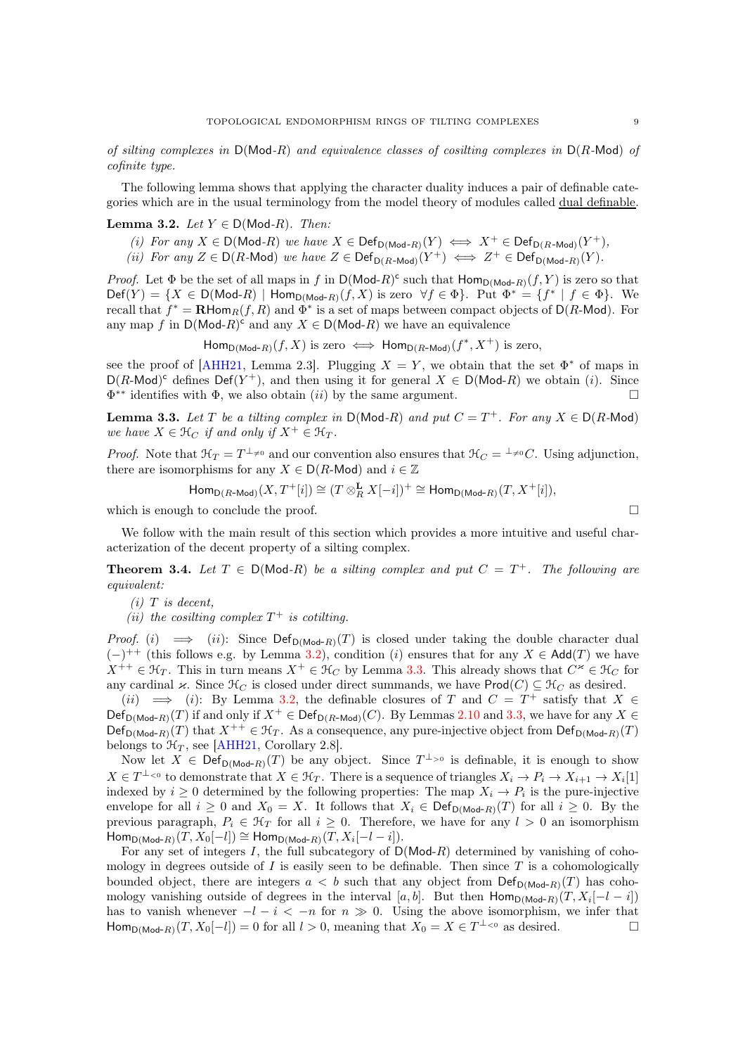*of silting complexes in* D(Mod*-*R) *and equivalence classes of cosilting complexes in* D(R*-*Mod) *of cofinite type.*

<span id="page-8-1"></span>The following lemma shows that applying the character duality induces a pair of definable categories which are in the usual terminology from the model theory of modules called dual definable.

## **Lemma 3.2.** *Let*  $Y \in D(Mod-R)$ *. Then:*

- $(i)$  *For any*  $X \in D(\text{Mod-}R)$  *we have*  $X \in Def_{D(\text{Mod-}R)}(Y) \iff X^+ \in Def_{D(R\text{-Mod})}(Y^+),$
- *(ii)* For any  $Z \in D(R$ -Mod) we have  $Z \in Def_{D(R-Mod)}(Y^+) \iff Z^+ \in Def_{D(Mod-R)}(Y)$ .

*Proof.* Let  $\Phi$  be the set of all maps in f in  $D(\text{Mod-}R)^c$  such that  $\text{Hom}_{D(\text{Mod-}R)}(f, Y)$  is zero so that  $\mathsf{Def}(Y) = \{X \in \mathsf{D}(\mathsf{Mod}\text{-}R) \mid \mathsf{Hom}_{\mathsf{D}(\mathsf{Mod}\text{-}R)}(f,X) \text{ is zero } \forall f \in \Phi\}.$  Put  $\Phi^* = \{f^* \mid f \in \Phi\}.$  We recall that  $f^* = \mathbf{R}$ Hom $_R(f, R)$  and  $\Phi^*$  is a set of maps between compact objects of  $\mathsf{D}(R\text{-Mod})$ . For any map f in  $D(\text{Mod-}R)^c$  and any  $X \in D(\text{Mod-}R)$  we have an equivalence

 $\mathsf{Hom}_{\mathsf{D}(\mathsf{Mod}\text{-}R)}(f,X)$  is zero  $\iff \mathsf{Hom}_{\mathsf{D}(R\text{-Mod})}(f^*,X^+)$  is zero,

see the proof of  $[AHH21, Lemma 2.3]$ . Plugging  $X = Y$ , we obtain that the set  $\Phi^*$  of maps in  $D(R\text{-Mod})^c$  defines  $Def(Y^+)$ , and then using it for general  $X \in D(Mod-R)$  we obtain (i). Since  $\Phi^{**}$  identifies with  $\Phi$ , we also obtain (*ii*) by the same argument.

<span id="page-8-2"></span>**Lemma 3.3.** Let T be a tilting complex in  $D(Mod-R)$  and put  $C = T^+$ . For any  $X \in D(R\text{-Mod})$ *we have*  $X \in \mathcal{H}_C$  *if and only if*  $X^+ \in \mathcal{H}_T$ *.* 

*Proof.* Note that  $\mathcal{H}_T = T^{\perp_{\neq 0}}$  and our convention also ensures that  $\mathcal{H}_C = {}^{\perp_{\neq 0}}C$ . Using adjunction, there are isomorphisms for any  $X \in D(R\text{-Mod})$  and  $i \in \mathbb{Z}$ 

$$
\operatorname{Hom}_{\mathsf{D}(R\text{-Mod})}(X,T^+[i]) \cong (T \otimes_R^\mathbf{L} X[-i])^+ \cong \operatorname{Hom}_{\mathsf{D}(\operatorname{Mod}\nolimits-R)}(T,X^+[i]),
$$

which is enough to conclude the proof.

<span id="page-8-0"></span>We follow with the main result of this section which provides a more intuitive and useful characterization of the decent property of a silting complex.

**Theorem 3.4.** Let  $T \in D(Mod-R)$  be a silting complex and put  $C = T^+$ . The following are *equivalent:*

*(i)* T *is decent,*

(*ii*) the cosilting complex  $T^+$  is cotilting.

*Proof.* (i)  $\implies$  (ii): Since  $\text{Def}_{\text{D}(Mod-R)}(T)$  is closed under taking the double character dual  $(-)^{++}$  (this follows e.g. by Lemma [3.2\)](#page-8-1), condition (i) ensures that for any  $X \in \mathsf{Add}(T)$  we have  $X^{++} \in \mathcal{H}_T$ . This in turn means  $X^+ \in \mathcal{H}_C$  by Lemma [3.3.](#page-8-2) This already shows that  $C^{\infty} \in \mathcal{H}_C$  for any cardinal  $\varkappa$ . Since  $\mathcal{H}_C$  is closed under direct summands, we have Prod $(C) \subseteq \mathcal{H}_C$  as desired.

(ii)  $\implies$  (i): By Lemma [3.2,](#page-8-1) the definable closures of T and  $C = T^+$  satisfy that  $X \in$  $\mathsf{Def}_{\mathsf{D}(\mathsf{Mod}\text{-}R)}(T)$  if and only if  $X^+ \in \mathsf{Def}_{\mathsf{D}(R\text{-Mod})}(C)$ . By Lemmas [2.10](#page-6-2) and [3.3,](#page-8-2) we have for any  $X \in$  $\mathsf{Def}_{\mathsf{D}(\mathsf{Mod}\text{-}R)}(T)$  that  $X^{++} \in \mathfrak{H}_T$ . As a consequence, any pure-injective object from  $\mathsf{Def}_{\mathsf{D}(\mathsf{Mod}\text{-}R)}(T)$ belongs to  $\mathcal{H}_T$ , see [\[AHH21,](#page-19-16) Corollary 2.8].

Now let  $X \in \mathsf{Def}_{\mathsf{D}(\mathsf{Mod}\text{-}R)}(T)$  be any object. Since  $T^{\perp_{>0}}$  is definable, it is enough to show  $X \in T^{\perp_{< 0}}$  to demonstrate that  $X \in \mathcal{H}_T$ . There is a sequence of triangles  $X_i \to P_i \to X_{i+1} \to X_i[1]$ indexed by  $i \geq 0$  determined by the following properties: The map  $X_i \to P_i$  is the pure-injective envelope for all  $i \geq 0$  and  $X_0 = X$ . It follows that  $X_i \in \text{Def}_{\text{D}(Mod-R)}(T)$  for all  $i \geq 0$ . By the previous paragraph,  $P_i \in \mathcal{H}_T$  for all  $i \geq 0$ . Therefore, we have for any  $l > 0$  an isomorphism  $\mathsf{Hom}_{\mathsf{D}(\mathsf{Mod}\text{-}R)}(\widetilde{T},X_0[-l])\cong \mathsf{Hom}_{\mathsf{D}(\mathsf{Mod}\text{-}R)}(T,X_i[-l-i]).$ 

For any set of integers  $I$ , the full subcategory of  $D(Mod-R)$  determined by vanishing of cohomology in degrees outside of  $I$  is easily seen to be definable. Then since  $T$  is a cohomologically bounded object, there are integers  $a < b$  such that any object from  $\textsf{Def}_{\textsf{D}(Mod-R)}(T)$  has cohomology vanishing outside of degrees in the interval [a, b]. But then  $\text{Hom}_{D(\text{Mod-}R)}(T, X_i[-l-i])$ has to vanish whenever  $-l - i < -n$  for  $n \gg 0$ . Using the above isomorphism, we infer that  $\text{Hom}_{D(\text{Mod}-R)}(T, X_0[-l]) = 0$  for all  $l > 0$ , meaning that  $X_0 = X \in T^{\perp_{0}}$  as desired.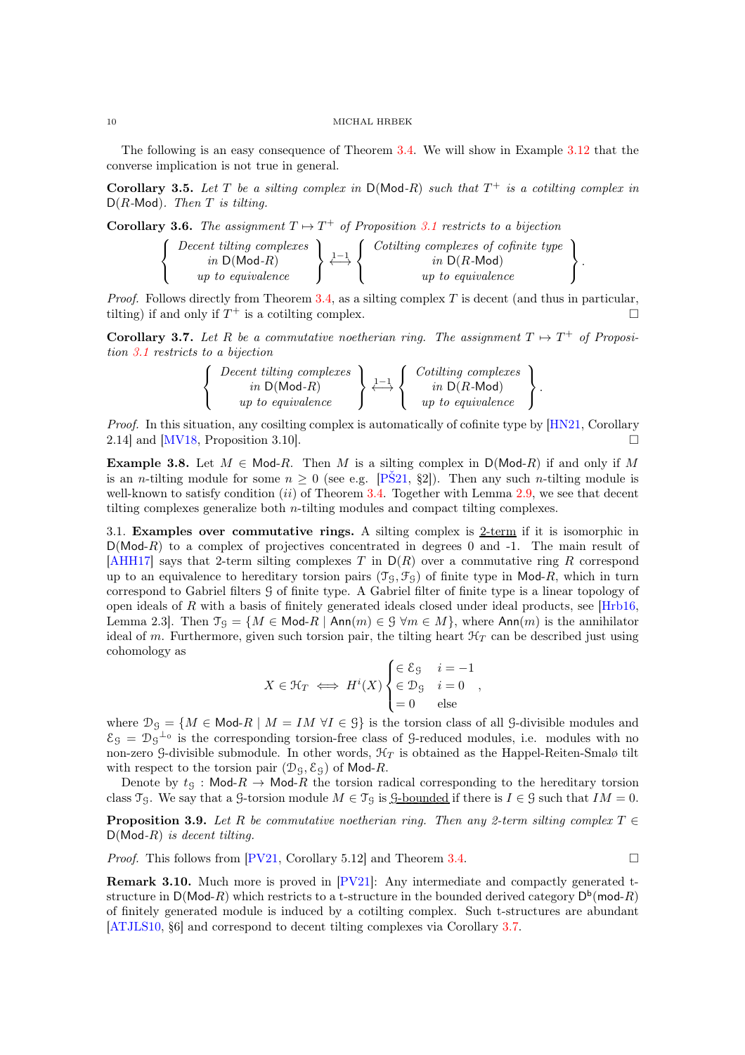The following is an easy consequence of Theorem [3.4.](#page-8-0) We will show in Example [3.12](#page-10-1) that the converse implication is not true in general.

Corollary 3.5. Let  $T$  be a silting complex in  $D(Mod-R)$  such that  $T^+$  is a cotilting complex in D(R*-*Mod)*. Then* T *is tilting.*

<span id="page-9-1"></span>**Corollary 3.6.** The assignment  $T \mapsto T^+$  of Proposition [3.1](#page-7-2) restricts to a bijection

$$
\left\{\begin{array}{c} \text{December } \text{tilting complexes } \\ \text{in D(Mod-R)} \\ \text{up to equivalence } \end{array}\right\} \overset{1-1}{\longleftrightarrow} \left\{\begin{array}{c} \text{Cotilling complexes of cofinite type } \\ \text{in D(R-Mod)} \\ \text{up to equivalence } \end{array}\right\}.
$$

*Proof.* Follows directly from Theorem [3.4,](#page-8-0) as a silting complex T is decent (and thus in particular, tilting) if and only if  $T^+$  is a cotilting complex.

<span id="page-9-0"></span>**Corollary 3.7.** Let R be a commutative noetherian ring. The assignment  $T \mapsto T^+$  of Proposi*tion [3.1](#page-7-2) restricts to a bijection*

$$
\left\{\begin{array}{c} \text{Decent tilting complexes} \\ \text{in D(Mod-R)} \\ \text{up to equivalence} \end{array}\right\} \overset{1-1}{\longleftrightarrow} \left\{\begin{array}{c} \text{Cotitting complexes} \\ \text{in D(R-Mod)} \\ \text{up to equivalence} \end{array}\right\}.
$$

*Proof.* In this situation, any cosilting complex is automatically of cofinite type by [\[HN21,](#page-19-13) Corollary 2.14] and [\[MV18,](#page-19-15) Proposition 3.10].

**Example 3.8.** Let  $M \in \text{Mod-}R$ . Then M is a silting complex in  $D(\text{Mod-}R)$  if and only if M is an *n*-tilting module for some  $n \geq 0$  (see e.g. [PS21, §2]). Then any such *n*-tilting module is well-known to satisfy condition  $(ii)$  of Theorem [3.4.](#page-8-0) Together with Lemma [2.9,](#page-6-1) we see that decent tilting complexes generalize both n-tilting modules and compact tilting complexes.

3.1. Examples over commutative rings. A silting complex is  $2$ -term if it is isomorphic in  $D(Mod-R)$  to a complex of projectives concentrated in degrees 0 and -1. The main result of [\[AHH17\]](#page-19-18) says that 2-term silting complexes T in  $D(R)$  over a commutative ring R correspond up to an equivalence to hereditary torsion pairs  $(\mathcal{T}_{\mathcal{G}}, \mathcal{F}_{\mathcal{G}})$  of finite type in Mod-R, which in turn correspond to Gabriel filters G of finite type. A Gabriel filter of finite type is a linear topology of open ideals of R with a basis of finitely generated ideals closed under ideal products, see  $[Hrb16]$ , Lemma 2.3. Then  $\mathfrak{I}_{\mathfrak{S}} = \{M \in \mathsf{Mod}\textrm{-}R \mid \mathsf{Ann}(m) \in \mathfrak{S} \,\forall m \in M\}$ , where  $\mathsf{Ann}(m)$  is the annihilator ideal of m. Furthermore, given such torsion pair, the tilting heart  $\mathcal{H}_T$  can be described just using cohomology as

$$
X \in \mathcal{H}_T \iff H^i(X) \begin{cases} \in \mathcal{E}_\mathcal{G} & i = -1 \\ \in \mathcal{D}_\mathcal{G} & i = 0 \\ = 0 & \text{else} \end{cases},
$$

where  $\mathcal{D}_{\mathcal{G}} = \{M \in \text{Mod-}R \mid M = IM \forall I \in \mathcal{G}\}\$ is the torsion class of all  $\mathcal{G}$ -divisible modules and  $\mathcal{E}_{\mathcal{G}} = \mathcal{D}_{\mathcal{G}}^{-1}$  is the corresponding torsion-free class of G-reduced modules, i.e. modules with no non-zero G-divisible submodule. In other words,  $\mathcal{H}_T$  is obtained as the Happel-Reiten-Smalø tilt with respect to the torsion pair  $(\mathcal{D}_\mathcal{G}, \mathcal{E}_\mathcal{G})$  of Mod-R.

Denote by  $t_{\rm G}$ : Mod- $R \to \text{Mod-}R$  the torsion radical corresponding to the hereditary torsion class  $\mathfrak{T}_{\mathcal{G}}$ . We say that a G-torsion module  $M \in \mathfrak{T}_{\mathcal{G}}$  is <u>G-bounded</u> if there is  $I \in \mathcal{G}$  such that  $IM = 0$ .

**Proposition 3.9.** Let R be commutative noetherian ring. Then any 2-term silting complex  $T \in$ D(Mod*-*R) *is decent tilting.*

*Proof.* This follows from  $[PV21, Corollary 5.12]$  and Theorem [3.4.](#page-8-0)

**Remark 3.10.** Much more is proved in  $[PV21]$ : Any intermediate and compactly generated tstructure in  $D(\text{Mod-}R)$  which restricts to a t-structure in the bounded derived category  $D^b(\text{mod-}R)$ of finitely generated module is induced by a cotilting complex. Such t-structures are abundant [\[ATJLS10,](#page-19-20) §6] and correspond to decent tilting complexes via Corollary [3.7.](#page-9-0)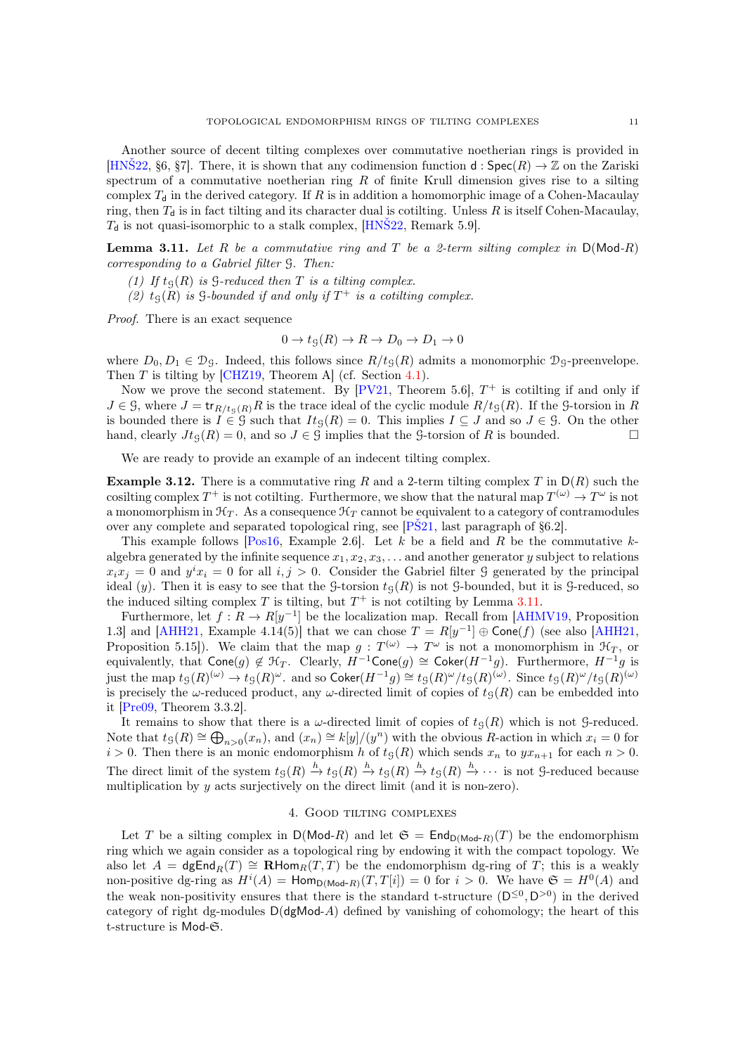Another source of decent tilting complexes over commutative noetherian rings is provided in [HNS22, §6, §7]. There, it is shown that any codimension function d:  $Spec(R) \to \mathbb{Z}$  on the Zariski spectrum of a commutative noetherian ring  $R$  of finite Krull dimension gives rise to a silting complex  $T_d$  in the derived category. If R is in addition a homomorphic image of a Cohen-Macaulay ring, then  $T<sub>d</sub>$  is in fact tilting and its character dual is cotilting. Unless R is itself Cohen-Macaulay,  $T<sub>d</sub>$  is not quasi-isomorphic to a stalk complex, [\[HNŠ22,](#page-19-9) Remark 5.9].

<span id="page-10-2"></span>Lemma 3.11. *Let* R *be a commutative ring and* T *be a 2-term silting complex in* D(Mod*-*R) *corresponding to a Gabriel filter* G*. Then:*

- *(1) If*  $t<sub>S</sub>(R)$  *is*  $S$ -reduced then  $T$  *is a tilting complex.*
- (2)  $t<sub>S</sub>(R)$  *is*  $\beta$ -bounded *if and only if*  $T^+$  *is a cotiling complex.*

*Proof.* There is an exact sequence

$$
0 \to t_{\mathcal{G}}(R) \to R \to D_0 \to D_1 \to 0
$$

where  $D_0, D_1 \in \mathcal{D}_\mathcal{G}$ . Indeed, this follows since  $R/t_\mathcal{G}(R)$  admits a monomorphic  $\mathcal{D}_\mathcal{G}$ -preenvelope. Then T is tilting by [\[CHZ19,](#page-19-21) Theorem A] (cf. Section [4.1\)](#page-12-0).

Now we prove the second statement. By  $[PV21, Theorem 5.6], T^+$  is cotilting if and only if  $J \in \mathcal{G}$ , where  $J = \text{tr}_{R/t_{\mathcal{G}}(R)}R$  is the trace ideal of the cyclic module  $R/t_{\mathcal{G}}(R)$ . If the  $\mathcal{G}$ -torsion in R is bounded there is  $I \in \mathcal{G}$  such that  $It_{\mathcal{G}}(R) = 0$ . This implies  $I \subseteq J$  and so  $J \in \mathcal{G}$ . On the other hand, clearly  $Jt_{\mathcal{G}}(R) = 0$ , and so  $J \in \mathcal{G}$  implies that the *G*-torsion of R is bounded.

<span id="page-10-1"></span>We are ready to provide an example of an indecent tilting complex.

**Example 3.12.** There is a commutative ring R and a 2-term tilting complex T in  $D(R)$  such the cosilting complex  $T^+$  is not cotilting. Furthermore, we show that the natural map  $T^{(\omega)} \to T^{\omega}$  is not a monomorphism in  $\mathcal{H}_T$ . As a consequence  $\mathcal{H}_T$  cannot be equivalent to a category of contramodules over any complete and separated topological ring, see [\[PŠ21,](#page-20-2) last paragraph of §6.2].

This example follows [\[Pos16,](#page-20-8) Example 2.6]. Let k be a field and R be the commutative kalgebra generated by the infinite sequence  $x_1, x_2, x_3, \ldots$  and another generator y subject to relations  $x_i x_j = 0$  and  $y^i x_i = 0$  for all  $i, j > 0$ . Consider the Gabriel filter G generated by the principal ideal (y). Then it is easy to see that the G-torsion  $t<sub>G</sub>(R)$  is not G-bounded, but it is G-reduced, so the induced silting complex  $T$  is tilting, but  $T^+$  is not cotilting by Lemma [3.11.](#page-10-2)

Furthermore, let  $f: R \to R[y^{-1}]$  be the localization map. Recall from [\[AHMV19,](#page-19-22) Proposition 1.3] and [\[AHH21,](#page-19-16) Example 4.14(5)] that we can chose  $T = R[y^{-1}] \oplus \text{Cone}(f)$  (see also [AHH21, Proposition 5.15]). We claim that the map  $g: T^{(\omega)} \to T^{\omega}$  is not a monomorphism in  $\mathcal{H}_T$ , or equivalently, that  $\textsf{Cone}(g) \notin \mathcal{H}_T$ . Clearly,  $H^{-1}\textsf{Cone}(g) \cong \textsf{Coker}(H^{-1}g)$ . Furthermore,  $H^{-1}g$  is just the map  $t_S(R)^{(\omega)} \to t_S(R)^{\omega}$ . and so  $\mathsf{Coker}(H^{-1}g) \cong t_S(R)^{\omega}/t_S(R)^{(\omega)}$ . Since  $t_S(R)^{\omega}/t_S(R)^{(\omega)}$ is precisely the  $\omega$ -reduced product, any  $\omega$ -directed limit of copies of  $t_{\mathcal{G}}(R)$  can be embedded into it [\[Pre09,](#page-20-9) Theorem 3.3.2].

It remains to show that there is a  $\omega$ -directed limit of copies of  $t<sub>G</sub>(R)$  which is not G-reduced. Note that  $t_g(R) \cong \bigoplus_{n>0} (x_n)$ , and  $(x_n) \cong k[y]/(y^n)$  with the obvious R-action in which  $x_i = 0$  for  $i > 0$ . Then there is an monic endomorphism h of  $t<sub>g</sub>(R)$  which sends  $x<sub>n</sub>$  to  $yx<sub>n+1</sub>$  for each  $n > 0$ . The direct limit of the system  $t_g(R) \stackrel{h}{\to} t_g(R) \stackrel{h}{\to} t_g(R) \stackrel{h}{\to} t_g(R) \stackrel{h}{\to} \cdots$  is not G-reduced because multiplication by y acts surjectively on the direct limit (and it is non-zero).

### 4. Good tilting complexes

<span id="page-10-0"></span>Let T be a silting complex in  $D(\text{Mod-}R)$  and let  $\mathfrak{S} = \text{End}_{D(\text{Mod-}R)}(T)$  be the endomorphism ring which we again consider as a topological ring by endowing it with the compact topology. We also let  $A = \text{dgEnd}_R(T) \cong \text{RHom}_R(T, T)$  be the endomorphism dg-ring of T; this is a weakly non-positive dg-ring as  $H^{i}(A) = \text{Hom}_{\mathsf{D}(\mathsf{Mod}\text{-}R)}(T,T[i]) = 0$  for  $i > 0$ . We have  $\mathfrak{S} = H^{0}(A)$  and the weak non-positivity ensures that there is the standard t-structure  $(D^{\leq 0}, D^{>0})$  in the derived category of right dg-modules  $D(dgMod-A)$  defined by vanishing of cohomology; the heart of this t-structure is Mod-S.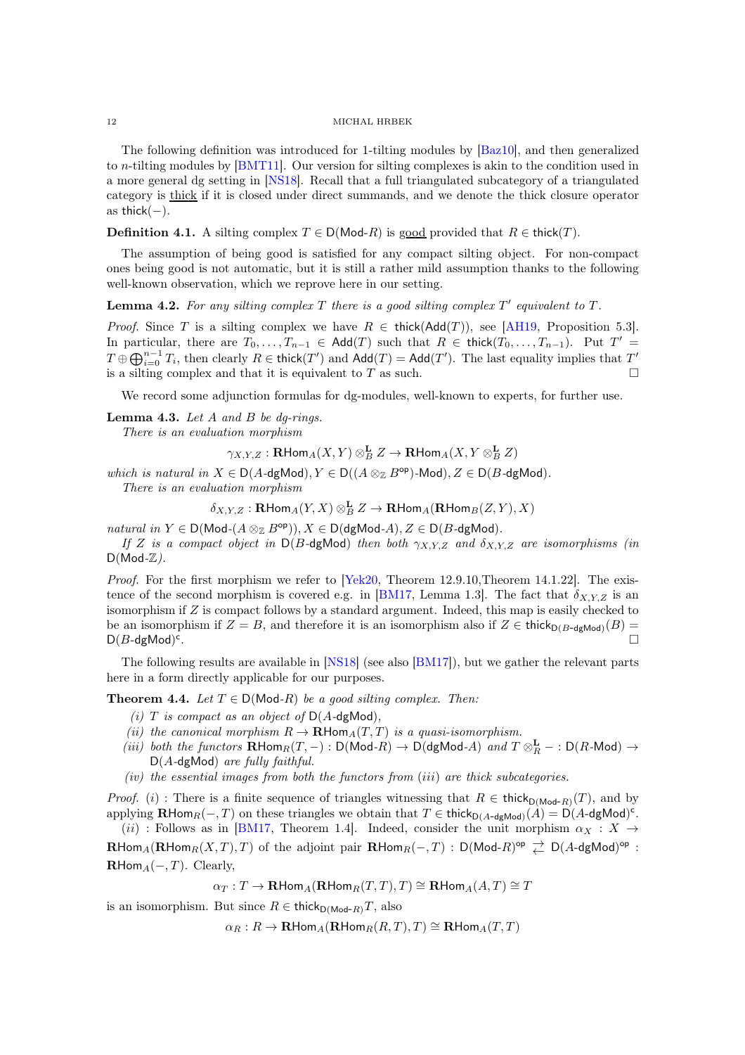The following definition was introduced for 1-tilting modules by [\[Baz10\]](#page-19-4), and then generalized to n-tilting modules by [\[BMT11\]](#page-19-5). Our version for silting complexes is akin to the condition used in a more general dg setting in [\[NS18\]](#page-19-6). Recall that a full triangulated subcategory of a triangulated category is thick if it is closed under direct summands, and we denote the thick closure operator as thick $(-)$ .

**Definition 4.1.** A silting complex  $T \in D(\text{Mod-}R)$  is good provided that  $R \in \text{thick}(T)$ .

The assumption of being good is satisfied for any compact silting object. For non-compact ones being good is not automatic, but it is still a rather mild assumption thanks to the following well-known observation, which we reprove here in our setting.

<span id="page-11-2"></span>**Lemma 4.2.** For any silting complex  $T$  there is a good silting complex  $T'$  equivalent to  $T$ .

*Proof.* Since T is a silting complex we have  $R \in \text{thick}(\text{Add}(T))$ , see [\[AH19,](#page-19-3) Proposition 5.3]. In particular, there are  $T_0, \ldots, T_{n-1} \in \text{Add}(T)$  such that  $R \in \text{thick}(T_0, \ldots, T_{n-1})$ . Put  $T' =$  $T \oplus \bigoplus_{i=0}^{n-1} T_i$ , then clearly  $R \in \mathsf{thick}(T')$  and  $\mathsf{Add}(T) = \mathsf{Add}(T')$ . The last equality implies that  $T'$ is a silting complex and that it is equivalent to T as such.  $\square$ 

<span id="page-11-0"></span>We record some adjunction formulas for dg-modules, well-known to experts, for further use.

### Lemma 4.3. *Let* A *and* B *be dg-rings.*

*There is an evaluation morphism*

 $\gamma_{X,Y,Z} : \mathbf{R}\mathsf{Hom}_A(X,Y) \otimes_B^\mathbf{L} Z \to \mathbf{R}\mathsf{Hom}_A(X,Y \otimes_B^\mathbf{L} Z)$ 

*which is natural in*  $X \in D(A-\text{dgMod})$ ,  $Y \in D((A \otimes_{\mathbb{Z}} B^{\text{op}})$ -Mod),  $Z \in D(B-\text{dgMod})$ . *There is an evaluation morphism*

 $\delta_{X,Y,Z} : \mathbf{R}\mathsf{Hom}_A(Y,X)\otimes^{\mathbf{L}}_B Z \to \mathbf{R}\mathsf{Hom}_A(\mathbf{R}\mathsf{Hom}_B(Z,Y),X)$ 

 $natural \ in \ Y \in D(\text{Mod-}(A \otimes_{\mathbb{Z}} B^{\text{op}})), X \in D(\text{dgMod-}A), Z \in D(B\text{-dgMod}).$ 

*If* Z *is a compact object in*  $D(B-\text{dgMod})$  *then both*  $\gamma_{X,Y,Z}$  *and*  $\delta_{X,Y,Z}$  *are isomorphisms (in* D(Mod*-*Z*).*

*Proof.* For the first morphism we refer to [\[Yek20,](#page-20-10) Theorem 12.9.10,Theorem 14.1.22]. The exis-tence of the second morphism is covered e.g. in [\[BM17,](#page-19-23) Lemma 1.3]. The fact that  $\delta_{X,Y,Z}$  is an isomorphism if Z is compact follows by a standard argument. Indeed, this map is easily checked to be an isomorphism if  $Z = B$ , and therefore it is an isomorphism also if  $Z \in \mathsf{thick}_{D(B-\mathsf{dgMod})}(B)$  $D(B$ -dgMod)<sup>c</sup> .

<span id="page-11-1"></span>The following results are available in [\[NS18\]](#page-19-6) (see also [\[BM17\]](#page-19-23)), but we gather the relevant parts here in a form directly applicable for our purposes.

**Theorem 4.4.** *Let*  $T \in D(\text{Mod-}R)$  *be a good silting complex. Then:* 

- *(i)*  $T$  *is compact as an object of*  $D(A-\text{dgMod})$ *,*
- *(ii) the canonical morphism*  $R \to \mathbf{R}$ Hom<sub>A</sub> $(T, T)$  *is a quasi-isomorphism.*
- $(iii)$  *both the functors*  $\mathbf{R}$ Hom $_R(T, -) : D(\text{Mod-}R) \to D(\text{dgMod-}A)$  *and*  $T \otimes_R^{\mathbf{L}} : D(R\text{-Mod}) \to$ D(A*-*dgMod) *are fully faithful.*
- *(iv) the essential images from both the functors from* (iii) *are thick subcategories.*

*Proof.* (i) : There is a finite sequence of triangles witnessing that  $R \in \text{thick}_{D(\text{Mod-}R)}(T)$ , and by applying  $\mathbf{R}\text{Hom}_R(-,T)$  on these triangles we obtain that  $T \in \mathsf{thick}_{D(A-\mathsf{dgMod})}(A) = \mathsf{D}(A-\mathsf{dgMod})^c$ .

(ii) : Follows as in [\[BM17,](#page-19-23) Theorem 1.4]. Indeed, consider the unit morphism  $\alpha_X : X \rightarrow$  $\mathbf{R}\mathsf{Hom}_A(\mathbf{R}\mathsf{Hom}_R(X,T),T)$  of the adjoint pair  $\mathbf{R}\mathsf{Hom}_R(-,T)$  :  $\mathsf{D}(\mathsf{Mod}\text{-}R)^{\mathsf{op}} \rightleftarrows \mathsf{D}(A\text{-}\mathsf{dgMod})^{\mathsf{op}}$  :  $\mathbf{R}$ Hom $_A(-, T)$ . Clearly,

$$
\alpha_T: T \to \mathbf{R}\text{Hom}_A(\mathbf{R}\text{Hom}_R(T,T),T) \cong \mathbf{R}\text{Hom}_A(A,T) \cong T
$$

is an isomorphism. But since  $R \in \mathsf{thick}_{D(\mathsf{Mod}\text{-}R)}T$ , also

 $\alpha_R : R \to \mathbf{R}$ Hom $_A(\mathbf{R}$ Hom $_R(R,T), T$ ) ≅  $\mathbf{R}$ Hom $_A(T,T)$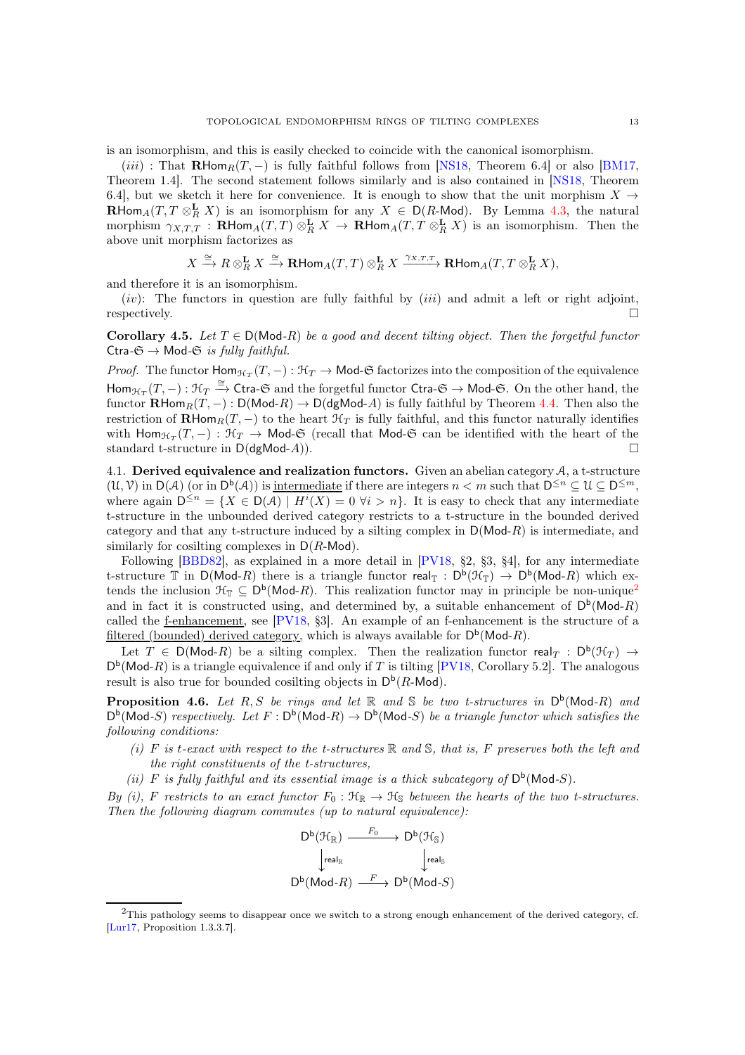is an isomorphism, and this is easily checked to coincide with the canonical isomorphism.

(iii) : That  $\mathbf{R}\text{Hom}_R(T, -)$  is fully faithful follows from [\[NS18,](#page-19-6) Theorem 6.4] or also [\[BM17,](#page-19-23) Theorem 1.4]. The second statement follows similarly and is also contained in [\[NS18,](#page-19-6) Theorem 6.4], but we sketch it here for convenience. It is enough to show that the unit morphism  $X \rightarrow$ **RHom**<sub>A</sub> $(T, T \otimes_R^{\mathbf{L}} X)$  is an isomorphism for any  $X \in D(R$ -Mod). By Lemma [4.3,](#page-11-0) the natural morphism  $\gamma_{X,T,T}$ : **RHom**<sub>A</sub> $(T,T)$   $\otimes_R^{\mathbf{L}} X \to \mathbf{R}$ Hom<sub>A</sub> $(T,T \otimes_R^{\mathbf{L}} X)$  is an isomorphism. Then the above unit morphism factorizes as

$$
X\xrightarrow{\cong} R\otimes_R^\mathbf{L} X \xrightarrow{\cong} \mathbf{R}\text{Hom}_A(T,T)\otimes_R^\mathbf{L} X \xrightarrow{\gamma_{X,T,T}} \mathbf{R}\text{Hom}_A(T,T\otimes_R^\mathbf{L} X),
$$

and therefore it is an isomorphism.

(iv): The functors in question are fully faithful by  $(iii)$  and admit a left or right adjoint,  $r$ espectively.

<span id="page-12-2"></span>**Corollary 4.5.** Let  $T \in D(Mod-R)$  *be a good and decent tilting object. Then the forgetful functor* Ctra- $\mathfrak{S} \rightarrow$  Mod- $\mathfrak{S}$  *is fully faithful.* 

*Proof.* The functor  $\text{Hom}_{\mathcal{H}_T}(T,-): \mathcal{H}_T \to \text{Mod-}\mathfrak{S}$  factorizes into the composition of the equivalence  $\text{Hom}_{\mathcal{H}_T}(T,-): \mathcal{H}_T \xrightarrow{\cong} \text{Ctra-G}$  and the forgetful functor  $\text{Ctra-G} \to \text{Mod-G}$ . On the other hand, the functor  $\mathbf{R}\text{Hom}_R(T,-): \mathsf{D}(\text{Mod-}R) \to \mathsf{D}(\text{dgMod-}A)$  is fully faithful by Theorem [4.4.](#page-11-1) Then also the restriction of  $\mathbf{R}\text{Hom}_R(T, -)$  to the heart  $\mathcal{H}_T$  is fully faithful, and this functor naturally identifies with  $\textsf{Hom}_{\mathcal{H}_T}(T,-): \mathcal{H}_T \to \textsf{Mod-}\mathfrak{S}$  (recall that Mod- $\mathfrak{S}$  can be identified with the heart of the standard t-structure in  $D(dgMod-A)$ .

<span id="page-12-0"></span>4.1. Derived equivalence and realization functors. Given an abelian category  $A$ , a t-structure  $(\mathcal{U}, \mathcal{V})$  in  $D(\mathcal{A})$  (or in  $D^b(\mathcal{A})$ ) is <u>intermediate</u> if there are integers  $n < m$  such that  $D^{\leq n} \subseteq \mathcal{U} \subseteq D^{\leq m}$ , where again  $D^{\leq n} = \{X \in D(\mathcal{A}) \mid H^{i}(X) = 0 \ \forall i > n\}.$  It is easy to check that any intermediate t-structure in the unbounded derived category restricts to a t-structure in the bounded derived category and that any t-structure induced by a silting complex in  $D(Mod-R)$  is intermediate, and similarly for cosilting complexes in  $D(R\text{-Mod})$ .

Following [\[BBD82\]](#page-19-11), as explained in a more detail in [\[PV18,](#page-20-5) §2, §3, §4], for any intermediate t-structure  $\mathbb T$  in  $D(\text{Mod-}R)$  there is a triangle functor real<sub> $\mathbb T$ </sub> :  $D^b(\mathcal H_{\mathbb T}) \to D^b(\text{Mod-}R)$  which extends the inclusion  $\mathcal{H}_{\mathbb{T}} \subseteq D^b(\mathsf{Mod}\text{-}R)$ . This realization functor may in principle be non-unique<sup>[2](#page-12-1)</sup> and in fact it is constructed using, and determined by, a suitable enhancement of  $D^b(\text{Mod-}R)$ called the f-enhancement, see  $[PV18, §3]$ . An example of an f-enhancement is the structure of a filtered (bounded) derived category, which is always available for  $D^b(\text{Mod-}R)$ .

Let  $T \in D(\text{Mod-}R)$  be a silting complex. Then the realization functor real $T : D^b(\mathcal{H}_T) \to$  $D^b$ (Mod-R) is a triangle equivalence if and only if T is tilting [\[PV18,](#page-20-5) Corollary 5.2]. The analogous result is also true for bounded cosilting objects in  $\mathsf{D}^{\mathsf{b}}(R\text{-}\mathsf{Mod})$ .

<span id="page-12-3"></span>**Proposition 4.6.** Let  $R, S$  be rings and let  $\mathbb{R}$  and  $\mathbb{S}$  be two t-structures in  $D^b(\text{Mod-}R)$  and  $D^b(\text{Mod-}S)$  *respectively. Let*  $F : D^b(\text{Mod-}R) \to D^b(\text{Mod-}S)$  *be a triangle functor which satisfies the following conditions:*

- *(i)* F *is* t*-exact with respect to the t-structures* R *and* S*, that is,* F *preserves both the left and the right constituents of the t-structures,*
- (*ii*) F is fully faithful and its essential image is a thick subcategory of  $D^b(Mod-S)$ .

*By (i),* F restricts to an exact functor  $F_0: \mathfrak{H}_{\mathbb{R}} \to \mathfrak{H}_{\mathbb{S}}$  *between the hearts of the two t-structures. Then the following diagram commutes (up to natural equivalence):*

$$
\begin{array}{ccc}\nD^b(\mathcal{H}_\mathbb{R}) & \xrightarrow{F_0} & D^b(\mathcal{H}_\mathbb{S}) \\
\downarrow_{\text{real}_\mathbb{R}} & & \downarrow_{\text{real}_\mathbb{S}} \\
D^b(\text{Mod-}R) & \xrightarrow{F} & D^b(\text{Mod-}S)\n\end{array}
$$

<span id="page-12-1"></span> $^{2}$ This pathology seems to disappear once we switch to a strong enough enhancement of the derived category, cf. [\[Lur17,](#page-19-24) Proposition 1.3.3.7].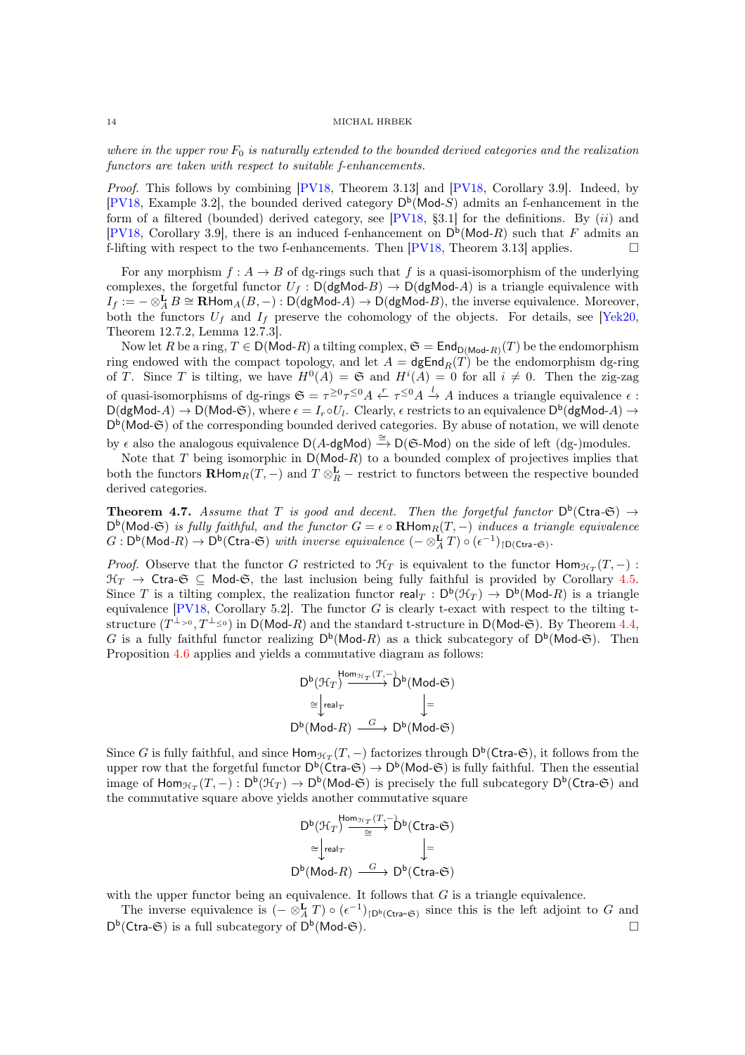where in the upper row  $F_0$  is naturally extended to the bounded derived categories and the realization *functors are taken with respect to suitable f-enhancements.*

*Proof.* This follows by combining [\[PV18,](#page-20-5) Theorem 3.13] and [\[PV18,](#page-20-5) Corollary 3.9]. Indeed, by [\[PV18,](#page-20-5) Example 3.2], the bounded derived category  $D^b$ (Mod-S) admits an f-enhancement in the form of a filtered (bounded) derived category, see  $[PV18, §3.1]$  for the definitions. By  $(ii)$  and [\[PV18,](#page-20-5) Corollary 3.9], there is an induced f-enhancement on  $D^b(\text{Mod-}R)$  such that F admits an f-lifting with respect to the two f-enhancements. Then  $[PV18, Theorem 3.13]$  applies.

For any morphism  $f : A \to B$  of dg-rings such that f is a quasi-isomorphism of the underlying complexes, the forgetful functor  $U_f : D(\text{dgMod-}B) \to D(\text{dgMod-}A)$  is a triangle equivalence with  $I_f := - \otimes_A^{\mathbf{L}} B \cong \mathbf{R} \text{Hom}_A(B, -) : \mathsf{D}(\mathsf{dgMod}\text{-}A) \to \mathsf{D}(\mathsf{dgMod}\text{-}B)$ , the inverse equivalence. Moreover, both the functors  $U_f$  and  $I_f$  preserve the cohomology of the objects. For details, see [\[Yek20,](#page-20-10) Theorem 12.7.2, Lemma 12.7.3].

Now let R be a ring,  $T \in D(\text{Mod-}R)$  a tilting complex,  $\mathfrak{S} = \text{End}_{D(\text{Mod-}R)}(T)$  be the endomorphism ring endowed with the compact topology, and let  $A = \text{dgEnd}_R(T)$  be the endomorphism dg-ring of T. Since T is tilting, we have  $H^0(A) = \mathfrak{S}$  and  $H^i(A) = 0$  for all  $i \neq 0$ . Then the zig-zag of quasi-isomorphisms of dg-rings  $\mathfrak{S} = \tau^{\geq 0} \tau^{\leq 0} A \stackrel{r}{\leftarrow} \tau^{\leq 0} A \stackrel{l}{\rightarrow} A$  induces a triangle equivalence  $\epsilon$ :  $D(dgMod-A) \to D(Mod-G)$ , where  $\epsilon = I_r \circ U_l$ . Clearly,  $\epsilon$  restricts to an equivalence  $D^b(dgMod-A) \to D(Mod-G)$ D<sup>b</sup>(Mod-G) of the corresponding bounded derived categories. By abuse of notation, we will denote by  $\epsilon$  also the analogous equivalence  $D(A-\text{dgMod}) \stackrel{\cong}{\rightarrow} D(\mathfrak{S}\text{-Mod})$  on the side of left (dg-)modules.

Note that T being isomorphic in  $D(\text{Mod-}R)$  to a bounded complex of projectives implies that both the functors  $\mathbf{R}$ Hom $_R(T, -)$  and  $T \otimes_R^{\mathbf{L}}$  – restrict to functors between the respective bounded derived categories.

<span id="page-13-0"></span>**Theorem 4.7.** Assume that T is good and decent. Then the forgetful functor  $D^b(Ctra-\mathfrak{S}) \rightarrow$  $D^b$ (Mod- $\mathfrak{S}$ ) *is fully faithful, and the functor*  $G = \epsilon \circ \mathbf{R}$ Hom $_R(T, -)$  *induces a triangle equivalence*  $G: D^{\mathsf{b}}(\mathsf{Mod}\text{-}R) \to D^{\mathsf{b}}(\mathsf{Ctra}\text{-}\mathfrak{S})$  *with inverse equivalence*  $(- \otimes^{\mathbf{L}}_{A} T) \circ (\epsilon^{-1})_{\mathsf{1D}(\mathsf{Ctra}\text{-}\mathfrak{S})}$ .

*Proof.* Observe that the functor G restricted to  $\mathcal{H}_T$  is equivalent to the functor  $\text{Hom}_{\mathcal{H}_T}(T, -)$ :  $\mathcal{H}_T \to \mathsf{C}$ tra- $\mathfrak{S} \subseteq \mathsf{Mod}\text{-}\mathfrak{S}$ , the last inclusion being fully faithful is provided by Corollary [4.5.](#page-12-2) Since T is a tilting complex, the realization functor  $\text{real}_T : D^b(\mathcal{H}_T) \to D^b(\text{Mod-}R)$  is a triangle equivalence  $[PV18, Corollary 5.2]$ . The functor G is clearly t-exact with respect to the tilting tstructure  $(T^{\perp_{>0}}, T^{\perp_{\leq 0}})$  in D(Mod-R) and the standard t-structure in D(Mod-G). By Theorem [4.4,](#page-11-1) G is a fully faithful functor realizing  $D^b(\text{Mod-}R)$  as a thick subcategory of  $D^b(\text{Mod-}G)$ . Then Proposition [4.6](#page-12-3) applies and yields a commutative diagram as follows:

$$
D^{b}(\mathcal{H}_{T}) \xrightarrow{\text{Hom}_{\mathcal{H}_{T}}(T,-)} D^{b}(\text{Mod-}\mathfrak{S})
$$

$$
\cong \downarrow_{\text{real}_{T}} \qquad \downarrow =
$$

$$
D^{b}(\text{Mod-}R) \xrightarrow{G} D^{b}(\text{Mod-}\mathfrak{S})
$$

Since G is fully faithful, and since  $\text{Hom}_{\mathcal{H}_T}(T, -)$  factorizes through  $\mathsf{D}^{\mathsf{b}}(\mathsf{Ctra}\text{-}\mathfrak{S})$ , it follows from the upper row that the forgetful functor  $D^b(Ctra-\mathfrak{S}) \to D^b(Mod-\mathfrak{S})$  is fully faithful. Then the essential image of  $\text{Hom}_{\mathcal{H}_T}(T,-): D^b(\mathcal{H}_T) \to D^b(\text{Mod-}\mathfrak{S})$  is precisely the full subcategory  $D^b(\text{Ctra-}\mathfrak{S})$  and the commutative square above yields another commutative square

$$
D^{b}(\mathcal{H}_{T}) \xrightarrow{\text{Hom}_{\mathcal{H}_{T}}(T,-)} D^{b}(\text{Ctra-G})
$$

$$
\cong \text{real}_{T} \qquad \qquad \downarrow =
$$

$$
D^{b}(\text{Mod-}R) \xrightarrow{G} D^{b}(\text{Ctra-G})
$$

with the upper functor being an equivalence. It follows that  $G$  is a triangle equivalence.

<span id="page-13-1"></span>The inverse equivalence is  $(- \otimes_A^{\mathbf{L}} T) \circ (\epsilon^{-1})_{\upharpoonright D^{\mathfrak{b}}(\mathsf{Ctra}\text{-}\mathfrak{S})}$  since this is the left adjoint to G and  $D^b(\text{Ctra-}\mathfrak{S})$  is a full subcategory of  $D^b(\text{Mod-}\mathfrak{S})$ .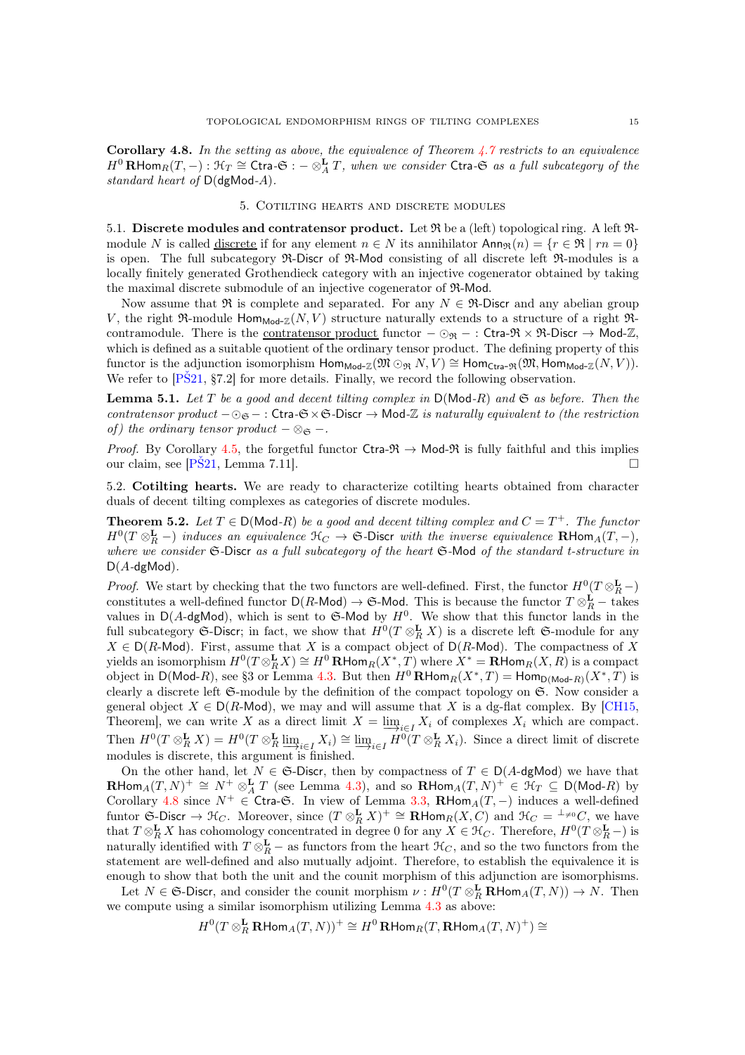Corollary 4.8. *In the setting as above, the equivalence of Theorem [4.7](#page-13-0) restricts to an equivalence*  $H^0$ **RHom** $_R(T, -): \mathcal{H}_T \cong$  Ctra $-\mathfrak{S}$ :  $-\otimes_A^{\mathbf{L}} T$ , when we consider Ctra $-\mathfrak{S}$  as a full subcategory of the *standard heart of* D(dgMod*-*A)*.*

### 5. Cotilting hearts and discrete modules

<span id="page-14-0"></span>5.1. Discrete modules and contratensor product. Let  $\Re$  be a (left) topological ring. A left  $\Re$ module N is called discrete if for any element  $n \in N$  its annihilator  $\text{Ann}_{\mathfrak{R}}(n) = \{r \in \mathfrak{R} \mid rn = 0\}$ is open. The full subcategory R-Discr of R-Mod consisting of all discrete left R-modules is a locally finitely generated Grothendieck category with an injective cogenerator obtained by taking the maximal discrete submodule of an injective cogenerator of R-Mod.

Now assume that R is complete and separated. For any  $N \in \mathbb{R}$ -Discr and any abelian group V, the right  $\Re$ -module Hom<sub>Mod-Z</sub> $(N, V)$  structure naturally extends to a structure of a right  $\Re$ contramodule. There is the <u>contratensor product</u> functor  $-\odot_{\mathfrak{R}} -$ : Ctra- $\mathfrak{R} \times \mathfrak{R}$ -Discr  $\rightarrow$  Mod-Z, which is defined as a suitable quotient of the ordinary tensor product. The defining property of this functor is the adjunction isomorphism  $\text{Hom}_{\text{Mod-}\mathbb{Z}}(\mathfrak{M} \odot_{\mathfrak{R}} N, V) \cong \text{Hom}_{\text{Ctra-}\mathfrak{R}}(\mathfrak{M}, \text{Hom}_{\text{Mod-}\mathbb{Z}}(N, V)).$ We refer to  $[P\text{\r{S}}21, \text{\r{S}}7.2]$  for more details. Finally, we record the following observation.

<span id="page-14-2"></span>Lemma 5.1. *Let* T *be a good and decent tilting complex in* D(Mod*-*R) *and* S *as before. Then the contratensor product*  $-\odot$ <sub>S</sub> − : Ctra- $\mathfrak{S} \times \mathfrak{S}$ -Discr  $\rightarrow$  Mod-Z *is naturally equivalent to (the restriction of)* the ordinary tensor product  $-\otimes_{\mathfrak{S}}$  –.

*Proof.* By Corollary [4.5,](#page-12-2) the forgetful functor Ctra- $\Re \rightarrow$  Mod- $\Re$  is fully faithful and this implies our claim, see [\[PŠ21,](#page-20-2) Lemma 7.11].

<span id="page-14-1"></span>5.2. Cotilting hearts. We are ready to characterize cotilting hearts obtained from character duals of decent tilting complexes as categories of discrete modules.

**Theorem 5.2.** Let  $T \in D(\text{Mod-}R)$  be a good and decent tilting complex and  $C = T^+$ . The functor  $H^0(T \otimes_R^{\mathbf{L}} -)$  *induces an equivalence*  $\mathfrak{H}_C \to \mathfrak{S}$ -Discr *with the inverse equivalence*  $\mathbf{R}$ Hom<sub>A</sub> $(T, -)$ *, where we consider* S*-*Discr *as a full subcategory of the heart* S*-*Mod *of the standard t-structure in* D(A*-*dgMod)*.*

*Proof.* We start by checking that the two functors are well-defined. First, the functor  $H^0(T \otimes_R^{\mathbf{L}}-)$ constitutes a well-defined functor  $D(R\text{-Mod}) \to \mathfrak{S}\text{-Mod}$ . This is because the functor  $T \otimes_R^{\mathbf{L}} -$  takes values in  $D(A-\text{dgMod})$ , which is sent to G-Mod by  $H^0$ . We show that this functor lands in the full subcategory G-Discr; in fact, we show that  $H^0(T \otimes_R^{\mathbf{L}} X)$  is a discrete left G-module for any  $X \in D(R\text{-Mod})$ . First, assume that X is a compact object of  $D(R\text{-Mod})$ . The compactness of X yields an isomorphism  $H^0(T\otimes_R^\mathbf{L} X)\cong H^0\operatorname{\mathbf{R}Hom}_R(X^*,T)$  where  $X^*=\operatorname{\mathbf{R}Hom}_R(X,R)$  is a compact object in  $\mathsf{D}(\mathsf{Mod}\text{-}R)$ , see §3 or Lemma [4.3.](#page-11-0) But then  $H^0$  **RHom**<sub>R</sub> $(X^*,T) = \mathsf{Hom}_{\mathsf{D}(\mathsf{Mod}\text{-}R)}(X^*,T)$  is clearly a discrete left S-module by the definition of the compact topology on S. Now consider a general object  $X \in D(R\text{-Mod})$ , we may and will assume that X is a dg-flat complex. By [\[CH15,](#page-19-25) Theorem], we can write X as a direct limit  $X = \underbrace{\lim_{i \in I} X_i}$  of complexes  $X_i$  which are compact. Then  $H^0(T \otimes_R^{\mathbf{L}} X) = H^0(T \otimes_R^{\mathbf{L}} \underline{\lim}_{i \in I} X_i) \cong \underline{\lim}_{i \in I} H^0(T \otimes_R^{\mathbf{L}} X_i)$ . Since a direct limit of discrete modules is discrete, this argument is finished.

On the other hand, let  $N \in \mathfrak{S}$ -Discr, then by compactness of  $T \in D(A-\text{dgMod})$  we have that  $\mathbf{R}\text{Hom}_A(T,N)^+\cong N^+\otimes^{\mathbf{L}}_AT$  (see Lemma [4.3\)](#page-11-0), and so  $\mathbf{R}\text{Hom}_A(T,N)^+\in\mathfrak{K}_T\subseteq\mathsf{D}(\textsf{Mod}\text{-}R)$  by Corollary [4.8](#page-13-1) since  $N^+ \in \text{Cra-G. In view of Lemma 3.3, }$  $N^+ \in \text{Cra-G. In view of Lemma 3.3, }$  $N^+ \in \text{Cra-G. In view of Lemma 3.3, }$  RHom $_A(T, -)$  induces a well-defined funtor  $\mathfrak{S}_Z$ -Discr  $\to \mathfrak{H}_C$ . Moreover, since  $(T \otimes_R^{\mathbf{L}} X)^+ \cong \mathbf{R}$ Hom $_R(X, C)$  and  $\mathfrak{H}_C = {}^{\perp_{\neq 0}}C$ , we have that  $T \otimes_R^{\mathbf{L}} X$  has cohomology concentrated in degree 0 for any  $X \in \mathcal{H}_C$ . Therefore,  $H^0(T \otimes_R^{\mathbf{L}}-)$  is naturally identified with  $T \otimes_R^{\mathbf{L}}$  – as functors from the heart  $\mathcal{H}_C$ , and so the two functors from the statement are well-defined and also mutually adjoint. Therefore, to establish the equivalence it is enough to show that both the unit and the counit morphism of this adjunction are isomorphisms.

Let  $N \in \mathfrak{S}\text{-Discr}$ , and consider the counit morphism  $\nu : H^0(T \otimes_R^{\mathbf{L}} \mathbf{R} \text{Hom}_A(T, N)) \to N$ . Then we compute using a similar isomorphism utilizing Lemma [4.3](#page-11-0) as above:

$$
H^0(T\otimes^{\mathbf{L}}_R\mathbf{R}\mathsf{Hom}_A(T,N))^+\cong H^0\,\mathbf{R}\mathsf{Hom}_R(T,\mathbf{R}\mathsf{Hom}_A(T,N)^+)\cong
$$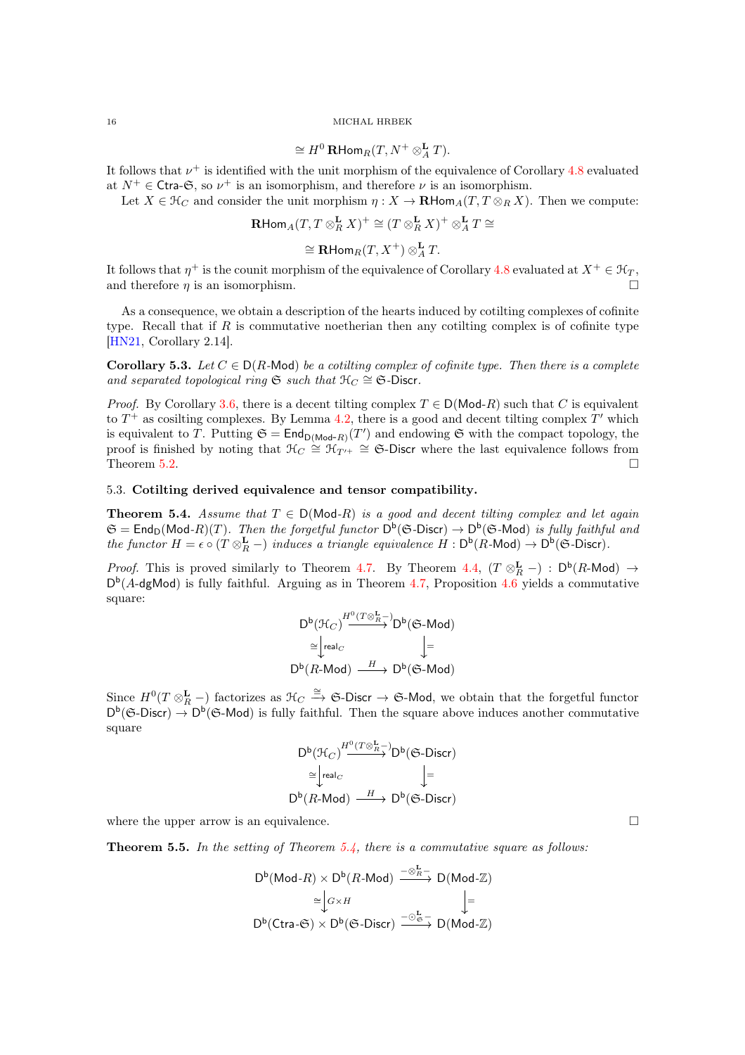$$
\cong H^0\operatorname{RHom}_R(T, N^+ \otimes^{\mathbf{L}}_A T).
$$

It follows that  $\nu^+$  is identified with the unit morphism of the equivalence of Corollary [4.8](#page-13-1) evaluated at  $N^+ \in \text{Ctra-G}$ , so  $\nu^+$  is an isomorphism, and therefore  $\nu$  is an isomorphism.

Let  $X \in \mathcal{H}_C$  and consider the unit morphism  $\eta: X \to \mathbf{R}\text{Hom}_A(T, T \otimes_R X)$ . Then we compute:

$$
\mathbf{R}\text{Hom}_A(T, T\otimes_R^{\mathbf{L}} X)^+\cong (T\otimes_R^{\mathbf{L}} X)^+\otimes_A^{\mathbf{L}} T\cong
$$

$$
\cong\mathbf{R}\text{Hom}_R(T,X^+)\otimes^{\mathbf{L}}_AT.
$$

It follows that  $\eta^+$  is the counit morphism of the equivalence of Corollary [4.8](#page-13-1) evaluated at  $X^+ \in \mathcal{H}_T$ , and therefore  $\eta$  is an isomorphism.

As a consequence, we obtain a description of the hearts induced by cotilting complexes of cofinite type. Recall that if R is commutative noetherian then any cotilting complex is of cofinite type [\[HN21,](#page-19-13) Corollary 2.14].

<span id="page-15-0"></span>Corollary 5.3. Let  $C \in D(R\text{-Mod})$  *be a cotilting complex of cofinite type. Then there is a complete* and separated topological ring  $\mathfrak{S}$  *such that*  $\mathfrak{H}_C \cong \mathfrak{S}$ -Discr.

*Proof.* By Corollary [3.6,](#page-9-1) there is a decent tilting complex  $T \in D(\text{Mod-}R)$  such that C is equivalent to  $T^+$  as cosilting complexes. By Lemma [4.2,](#page-11-2) there is a good and decent tilting complex  $T'$  which is equivalent to T. Putting  $\mathfrak{S} = \mathsf{End}_{D(\mathsf{Mod}\text{-}R)}(T')$  and endowing  $\mathfrak{S}$  with the compact topology, the proof is finished by noting that  $\mathcal{H}_C \cong \mathcal{H}_{T'^+} \cong \mathfrak{S}\text{-Discr}$  where the last equivalence follows from Theorem [5.2.](#page-14-1)  $\Box$ 

### <span id="page-15-2"></span>5.3. Cotilting derived equivalence and tensor compatibility.

**Theorem 5.4.** *Assume that*  $T \in D(\text{Mod-}R)$  *is a good and decent tilting complex and let again*  $\mathfrak{S} = \mathsf{End}_\mathsf{D}(\mathsf{Mod}\text{-}R)(T)$ . Then the forgetful functor  $\mathsf{D}^{\mathsf{b}}(\mathfrak{S}\text{-}\mathsf{Discr}) \to \mathsf{D}^{\mathsf{b}}(\mathfrak{S}\text{-}\mathsf{Mod})$  is fully faithful and *the functor*  $H = \epsilon \circ (T \otimes_R^{\mathbf{L}} -)$  *induces a triangle equivalence*  $H : D^b(R\text{-Mod}) \to D^b(\mathfrak{S}\text{-Discr})$ *.* 

*Proof.* This is proved similarly to Theorem [4.7.](#page-13-0) By Theorem [4.4,](#page-11-1)  $(T \otimes_R^{\mathbf{L}} -) : D^{\mathsf{b}}(R\text{-Mod}) \to$  $D^{b}(A-dgMod)$  is fully faithful. Arguing as in Theorem [4.7,](#page-13-0) Proposition [4.6](#page-12-3) yields a commutative square:

$$
D^{b}(\mathcal{H}_{C}) \xrightarrow{H^{0}(T \otimes_{R}^{\mathbf{L}} -} D^{b}(\mathfrak{S}\text{-Mod})
$$

$$
\cong \downarrow_{real_C} \qquad \qquad \downarrow =
$$

$$
D^{b}(R \text{-Mod}) \xrightarrow{H} D^{b}(\mathfrak{S}\text{-Mod})
$$

Since  $H^0(T \otimes_R^{\mathbf{L}}-)$  factorizes as  $\mathfrak{H}_C \stackrel{\cong}{\to} \mathfrak{S}\text{-Discr} \to \mathfrak{S}\text{-Mod}$ , we obtain that the forgetful functor  $D^b$ (G-Discr)  $\rightarrow$   $D^b$ (G-Mod) is fully faithful. Then the square above induces another commutative square

$$
\begin{array}{ccc}D^{\mathrm{b}}(\mathcal{H}_{C})\xrightarrow{H^{0}(T\otimes \frac{\mathbf{L}}{R}-)}D^{\mathrm{b}}(\mathfrak{S}\text{-}\mathrm{Discr})\\ \cong&\\ D^{\mathrm{b}}(R\text{-}\mathrm{Mod})&\xrightarrow{H}D^{\mathrm{b}}(\mathfrak{S}\text{-}\mathrm{Discr})\\ \end{array}
$$

where the upper arrow is an equivalence.  $\Box$ 

<span id="page-15-1"></span>Theorem 5.5. *In the setting of Theorem [5.4,](#page-15-2) there is a commutative square as follows:*

$$
D^{b}(\text{Mod-}R) \times D^{b}(R\text{-Mod}) \xrightarrow{-\otimes_{R}^{L}} D(\text{Mod-}\mathbb{Z})
$$

$$
\cong \bigg\downarrow c \times H \qquad \qquad \bigg\downarrow=
$$

$$
D^{b}(\text{Ctra-}\mathfrak{S}) \times D^{b}(\mathfrak{S}\text{-Discr}) \xrightarrow{-\otimes_{\mathfrak{S}}^{L}} D(\text{Mod-}\mathbb{Z})
$$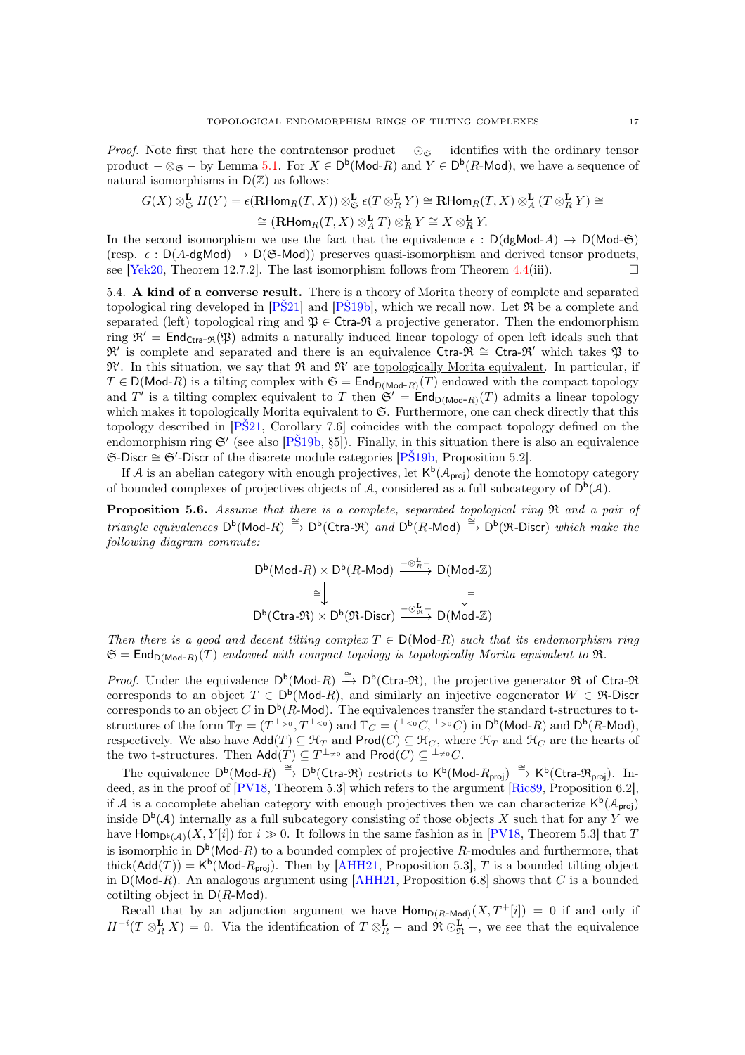*Proof.* Note first that here the contratensor product  $-\odot_{\mathfrak{S}}$  – identifies with the ordinary tensor product  $-\otimes_{\mathfrak{S}} -$  by Lemma [5.1.](#page-14-2) For  $X \in \mathsf{D}^{\mathsf{b}}(\mathsf{Mod}\text{-}R)$  and  $Y \in \mathsf{D}^{\mathsf{b}}(R\text{-}\mathsf{Mod})$ , we have a sequence of natural isomorphisms in  $D(\mathbb{Z})$  as follows:

$$
\begin{aligned} G(X)\otimes^{\mathbf{L}}_{\mathfrak{S}}H(Y)&=\epsilon(\mathbf{R}\mathrm{Hom}_R(T,X))\otimes^{\mathbf{L}}_{\mathfrak{S}}\epsilon(T\otimes^{\mathbf{L}}_R Y)\cong\mathbf{R}\mathrm{Hom}_R(T,X)\otimes^{\mathbf{L}}_A(T\otimes^{\mathbf{L}}_R Y)\cong\\ &\cong(\mathbf{R}\mathrm{Hom}_R(T,X)\otimes^{\mathbf{L}}_A T)\otimes^{\mathbf{L}}_R Y\cong X\otimes^{\mathbf{L}}_R Y. \end{aligned}
$$

In the second isomorphism we use the fact that the equivalence  $\epsilon : D(dgMod-A) \to DMod-S$ (resp.  $\epsilon$ : D(A-dgMod)  $\rightarrow$  D(G-Mod)) preserves quasi-isomorphism and derived tensor products, see [\[Yek20,](#page-20-10) Theorem 12.7.2]. The last isomorphism follows from Theorem [4.4\(](#page-11-1)iii).

5.4. A kind of a converse result. There is a theory of Morita theory of complete and separated topological ring developed in  $[P\check{S}21]$  and  $[P\check{S}19b]$ , which we recall now. Let  $\Re$  be a complete and separated (left) topological ring and  $\mathfrak{P} \in \mathsf{Ctra}\mathfrak{R}$  a projective generator. Then the endomorphism ring  $\mathfrak{R}' = \text{End}_{\text{Ctra-}\mathfrak{R}}(\mathfrak{P})$  admits a naturally induced linear topology of open left ideals such that  $\mathfrak{R}'$  is complete and separated and there is an equivalence Ctra- $\mathfrak{R} \cong$  Ctra- $\mathfrak{R}'$  which takes  $\mathfrak{P}$  to  $\mathfrak{R}'$ . In this situation, we say that  $\mathfrak{R}$  and  $\mathfrak{R}'$  are <u>topologically Morita equivalent</u>. In particular, if  $T \in D(\text{Mod-}R)$  is a tilting complex with  $\mathfrak{S} = \text{End}_{D(\text{Mod-}R)}(T)$  endowed with the compact topology and T' is a tilting complex equivalent to T then  $\mathfrak{S}' = \mathsf{End}_{\mathsf{D}(\mathsf{Mod}\text{-}R)}(T)$  admits a linear topology which makes it topologically Morita equivalent to G. Furthermore, one can check directly that this topology described in [\[PŠ21,](#page-20-2) Corollary 7.6] coincides with the compact topology defined on the endomorphism ring  $\mathfrak{S}'$  (see also [P $\tilde{\mathrm{S}}$ 19b, §5]). Finally, in this situation there is also an equivalence S-Discr ∼= S′ -Discr of the discrete module categories [\[PŠ19b,](#page-20-11) Proposition 5.2].

<span id="page-16-0"></span>If A is an abelian category with enough projectives, let  $\mathsf{K}^{\mathsf{b}}(\mathcal{A}_{\mathsf{proj}})$  denote the homotopy category of bounded complexes of projectives objects of A, considered as a full subcategory of  $D^b(\mathcal{A})$ .

Proposition 5.6. *Assume that there is a complete, separated topological ring* R *and a pair of*  $triangle$  equivalences  $D^b(Mod-R) \stackrel{\cong}{\to} D^b(Ctra- \mathfrak{R})$  and  $D^b(R-Mod) \stackrel{\cong}{\to} D^b(\mathfrak{R}$ -Discr) which make the *following diagram commute:*

$$
\begin{array}{c}\nD^{\mathsf{b}}(\mathsf{Mod}\textrm{-}R)\times D^{\mathsf{b}}(R\textrm{-}\mathsf{Mod})\xrightarrow{-\otimes^{\mathbf{L}}_R-}\mathsf{D}(\mathsf{Mod}\textrm{-}\mathbb{Z})\\ \cong\bigcup\\ \nD^{\mathsf{b}}(\mathsf{Ctra}\textrm{-}\mathfrak{R})\times D^{\mathsf{b}}(\mathfrak{R}\textrm{-}\mathsf{Discr})\xrightarrow{-\odot^{\mathbf{L}}_{\mathfrak{R}}-}\mathsf{D}(\mathsf{Mod}\textrm{-}\mathbb{Z})\n\end{array}
$$

*Then there is a good and decent tilting complex*  $T \in D(\text{Mod-}R)$  *such that its endomorphism ring*  $\mathfrak{S} = \mathsf{End}_{\mathsf{D}(\mathsf{Mod}\text{-}R)}(T)$  *endowed with compact topology is topologically Morita equivalent to*  $\mathfrak{R}$ .

*Proof.* Under the equivalence  $D^b(\text{Mod-}R) \stackrel{\cong}{\to} D^b(\text{Ctra-}R)$ , the projective generator R of Ctra-R corresponds to an object  $T \in D^b(\text{Mod-}R)$ , and similarly an injective cogenerator  $W \in \mathfrak{R}$ -Discr corresponds to an object C in  $\mathsf{D}^{\mathsf{b}}(R\text{-}\mathsf{Mod})$ . The equivalences transfer the standard t-structures to tstructures of the form  $\mathbb{T}_T = (T^{\perp_{>0}}, T^{\perp_{\leq 0}})$  and  $\mathbb{T}_C = ({}^{\perp_{\leq 0}}C, {}^{\perp_{>0}}C)$  in  $\mathsf{D}^\mathsf{b}(\mathsf{Mod}\text{-}R)$  and  $\mathsf{D}^\mathsf{b}(R\text{-Mod}),$ respectively. We also have  $\text{Add}(T) \subseteq \mathcal{H}_T$  and  $\text{Prod}(C) \subseteq \mathcal{H}_C$ , where  $\mathcal{H}_T$  and  $\mathcal{H}_C$  are the hearts of the two t-structures. Then  $\mathsf{Add}(T) \subseteq T^{\perp_{\neq 0}}$  and  $\mathsf{Prod}(C) \subseteq {}^{\perp_{\neq 0}}C$ .

The equivalence  $D^b(\text{Mod-}R) \stackrel{\cong}{\to} D^b(\text{Ctra-}\mathfrak{R})$  restricts to  $K^b(\text{Mod-}R_{\text{proj}}) \stackrel{\cong}{\to} K^b(\text{Ctra-}\mathfrak{R}_{\text{proj}})$ . Indeed, as in the proof of  $[PV18, Theorem 5.3]$  which refers to the argument  $[Ric89, Proposition 6.2]$ , if A is a cocomplete abelian category with enough projectives then we can characterize  $\mathsf{K}^{\mathsf{b}}(\mathcal{A}_{\text{proj}})$ inside  $D^b(\mathcal{A})$  internally as a full subcategory consisting of those objects X such that for any Y we have  $\mathsf{Hom}_{\mathsf{D}^{\mathsf{b}}(\mathcal{A})}(X,Y[i])$  for  $i \gg 0$ . It follows in the same fashion as in [\[PV18,](#page-20-5) Theorem 5.3] that T is isomorphic in  $D^b(\text{Mod-}R)$  to a bounded complex of projective R-modules and furthermore, that thick(Add(T)) =  $K^b$ (Mod- $R_{proj}$ ). Then by [\[AHH21,](#page-19-16) Proposition 5.3], T is a bounded tilting object in  $D(\text{Mod-}R)$ . An analogous argument using [\[AHH21,](#page-19-16) Proposition 6.8] shows that C is a bounded cotilting object in  $D(R\text{-Mod})$ .

Recall that by an adjunction argument we have  $\text{Hom}_{D(R\text{-Mod})}(X, T^+[i]) = 0$  if and only if  $H^{-i}(T \otimes_R^{\mathbf{L}} X) = 0$ . Via the identification of  $T \otimes_R^{\mathbf{L}} -$  and  $\mathfrak{R} \otimes_R^{\mathbf{L}} -$ , we see that the equivalence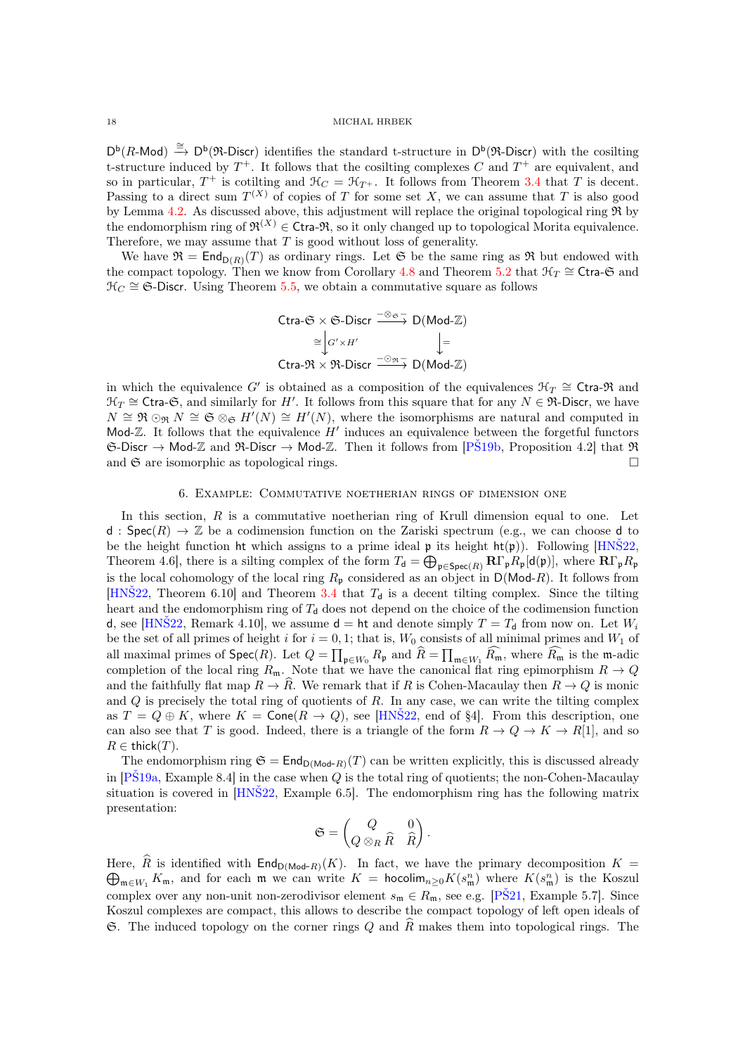$D^b(R\text{-Mod}) \stackrel{\cong}{\to} D^b(\mathfrak{R}\text{-Discr})$  identifies the standard t-structure in  $D^b(\mathfrak{R}\text{-Discr})$  with the cosilting t-structure induced by  $T^+$ . It follows that the cosilting complexes C and  $T^+$  are equivalent, and so in particular,  $T^+$  is cotilting and  $\mathcal{H}_C = \mathcal{H}_{T^+}$ . It follows from Theorem [3.4](#page-8-0) that T is decent. Passing to a direct sum  $T^{(X)}$  of copies of T for some set X, we can assume that T is also good by Lemma [4.2.](#page-11-2) As discussed above, this adjustment will replace the original topological ring  $\Re$  by the endomorphism ring of  $\mathfrak{R}^{(X)} \in \mathsf{Ctra}\text{-}\mathfrak{R}$ , so it only changed up to topological Morita equivalence. Therefore, we may assume that  $T$  is good without loss of generality.

We have  $\mathfrak{R} = \mathsf{End}_{D(R)}(T)$  as ordinary rings. Let  $\mathfrak{S}$  be the same ring as  $\mathfrak{R}$  but endowed with the compact topology. Then we know from Corollary [4.8](#page-13-1) and Theorem [5.2](#page-14-1) that  $\mathcal{H}_T \cong \mathsf{Ctra\text{-}G}$  and  $\mathcal{H}_C \cong \mathfrak{S}\text{-Discr}$ . Using Theorem [5.5,](#page-15-1) we obtain a commutative square as follows

$$
Ctra-G \times G-Discr \xrightarrow{-\otimes g} D(Mod-Z)
$$
  
\n
$$
\cong \int G' \times H' \qquad \qquad \downarrow =
$$
  
\n
$$
Ctra-3\bar{X} \times 3\bar{X}-Discr \xrightarrow{-\otimes g} D(Mod-Z)
$$

in which the equivalence G' is obtained as a composition of the equivalences  $\mathcal{H}_T \cong \mathsf{Ctra}\text{-}\mathfrak{R}$  and  $\mathcal{H}_T \cong \mathsf{Ctra\text{-}}\mathfrak{S}$ , and similarly for H'. It follows from this square that for any  $N \in \mathfrak{R}\text{-}$ Discr, we have  $N \cong \mathfrak{R} \odot_{\mathfrak{R}} N \cong \mathfrak{S} \otimes_{\mathfrak{S}} H'(N) \cong H'(N)$ , where the isomorphisms are natural and computed in Mod- $\mathbb{Z}$ . It follows that the equivalence  $H'$  induces an equivalence between the forgetful functors  $\mathfrak{S}\text{-Discr}\to \text{Mod-}\mathbb{Z}$  and  $\mathfrak{R}\text{-Discr}\to \text{Mod-}\mathbb{Z}$ . Then it follows from  $[P\check{S}19b,$  Proposition 4.2 that  $\mathfrak{R}$ and  $\mathfrak S$  are isomorphic as topological rings.

### 6. Example: Commutative noetherian rings of dimension one

<span id="page-17-0"></span>In this section,  $R$  is a commutative noetherian ring of Krull dimension equal to one. Let d :  $Spec(R) \rightarrow \mathbb{Z}$  be a codimension function on the Zariski spectrum (e.g., we can choose d to be the height function ht which assigns to a prime ideal  $\mathfrak p$  its height  $\mathfrak{ht}(\mathfrak p)$ ). Following [HNS22, Theorem 4.6, there is a silting complex of the form  $T_d = \bigoplus_{\mathfrak{p} \in \text{Spec}(R)} \mathbf{R} \Gamma_{\mathfrak{p}} R_{\mathfrak{p}}[d(\mathfrak{p})]$ , where  $\mathbf{R} \Gamma_{\mathfrak{p}} R_{\mathfrak{p}}$ is the local cohomology of the local ring  $R_p$  considered as an object in  $D(\text{Mod-}R)$ . It follows from [HNS22, Theorem 6.10] and Theorem [3.4](#page-8-0) that  $T<sub>d</sub>$  is a decent tilting complex. Since the tilting heart and the endomorphism ring of  $T<sub>d</sub>$  does not depend on the choice of the codimension function d, see [HNS22, Remark 4.10], we assume  $d = ht$  and denote simply  $T = T_d$  from now on. Let  $W_i$ be the set of all primes of height i for  $i = 0, 1$ ; that is,  $W_0$  consists of all minimal primes and  $W_1$  of all maximal primes of  $\textsf{Spec}(R)$ . Let  $Q = \prod_{\mathfrak{p} \in W_0} R_{\mathfrak{p}}$  and  $\widehat{R} = \prod_{\mathfrak{m} \in W_1} \widehat{R_{\mathfrak{m}}}$ , where  $\widehat{R_{\mathfrak{m}}}$  is the m-adic completion of the local ring  $R_m$ . Note that we have the canonical flat ring epimorphism  $R \to Q$ and the faithfully flat map  $R \to \hat{R}$ . We remark that if R is Cohen-Macaulay then  $R \to Q$  is monic and  $Q$  is precisely the total ring of quotients of  $R$ . In any case, we can write the tilting complex as  $T = Q \oplus K$ , where  $K = \text{Cone}(R \to Q)$ , see [HNS22, end of §4]. From this description, one can also see that T is good. Indeed, there is a triangle of the form  $R \to Q \to K \to R[1]$ , and so  $R \in \text{thick}(T)$ .

The endomorphism ring  $\mathfrak{S} = \mathsf{End}_{\mathsf{D}(\mathsf{Mod}\text{-}R)}(T)$  can be written explicitly, this is discussed already in  $[P\check{S}19a,$  Example 8.4] in the case when Q is the total ring of quotients; the non-Cohen-Macaulay situation is covered in [\[HNŠ22,](#page-19-9) Example 6.5]. The endomorphism ring has the following matrix presentation:

$$
\mathfrak{S}=\begin{pmatrix} Q & 0 \\ Q\otimes_R \widehat{R} & \widehat{R} \end{pmatrix}.
$$

Here, R is identified with  $\text{End}_{D(\text{Mod-}R)}(K)$ . In fact, we have the primary decomposition  $K = \bigoplus_{\substack{small \text{if } \text{mod} \\small \text{if } \text{mod} \text{if } \text{mod} \\small \text{if } \text{mod} \text{if } \text{mod} \text{if } \text{mod} \text{if } \text{mod} \text{if } \text{mod} \text{if } \text{mod} \text{if } \text{mod} \text{if } \text{mod} \text{$  $m \in W_1$  Km, and for each m we can write  $K = \text{hocolim}_{n \geq 0} K(s_m^n)$  where  $K(s_m^n)$  is the Koszul complex over any non-unit non-zerodivisor element  $s_m \in R_m$ , see e.g. [\[PŠ21,](#page-20-2) Example 5.7]. Since Koszul complexes are compact, this allows to describe the compact topology of left open ideals of  $\mathfrak{S}$ . The induced topology on the corner rings Q and  $\widehat{R}$  makes them into topological rings. The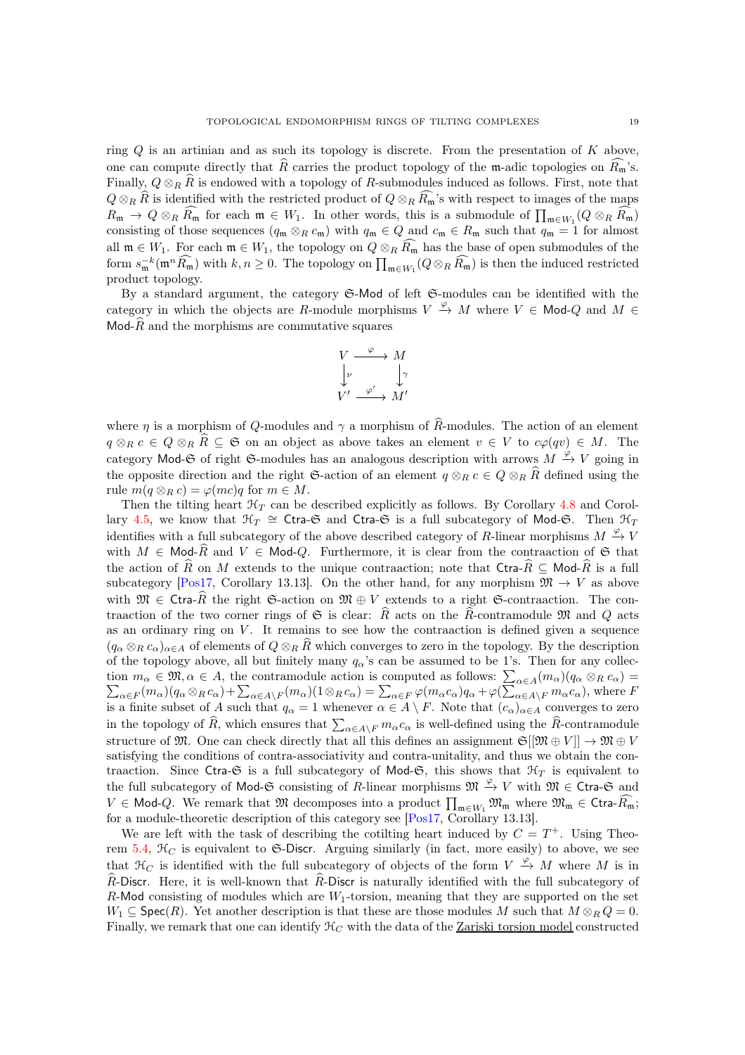ring  $Q$  is an artinian and as such its topology is discrete. From the presentation of  $K$  above, one can compute directly that R carries the product topology of the m-adic topologies on  $R_m$ 's. Finally,  $Q \otimes_R R$  is endowed with a topology of R-submodules induced as follows. First, note that  $Q \otimes_R \widehat{R}$  is identified with the restricted product of  $Q \otimes_R \widehat{R}_{\mathfrak{m}}$ 's with respect to images of the maps

 $R_{\mathfrak{m}} \to Q \otimes_R \widehat{R_{\mathfrak{m}}}$  for each  $\mathfrak{m} \in W_1$ . In other words, this is a submodule of  $\prod_{\mathfrak{m} \in W_1}(Q \otimes_R \widehat{R_{\mathfrak{m}}})$ consisting of those sequences  $(q_m \otimes_R c_m)$  with  $q_m \in Q$  and  $c_m \in R_m$  such that  $q_m = 1$  for almost all  $\mathfrak{m} \in W_1$ . For each  $\mathfrak{m} \in W_1$ , the topology on  $Q \otimes_R \widehat{R_{\mathfrak{m}}}$  has the base of open submodules of the form  $s_{\mathfrak{m}}^{-k}(\mathfrak{m}^n \widehat{R_{\mathfrak{m}}})$  with  $k, n \geq 0$ . The topology on  $\prod_{\mathfrak{m} \in W_1}(Q \otimes_R \widehat{R_{\mathfrak{m}}})$  is then the induced restricted product topology.

By a standard argument, the category S-Mod of left S-modules can be identified with the category in which the objects are R-module morphisms  $V \stackrel{\varphi}{\to} M$  where  $V \in \mathsf{Mod}\textrm{-}Q$  and  $M \in$ Mod- $\widehat{R}$  and the morphisms are commutative squares

$$
\begin{array}{ccc}\nV & \xrightarrow{\varphi} & M \\
\downarrow{\nu} & & \downarrow{\gamma} \\
V' & \xrightarrow{\varphi'} & M'\n\end{array}
$$

where  $\eta$  is a morphism of Q-modules and  $\gamma$  a morphism of  $\widehat{R}$ -modules. The action of an element  $q \otimes_R c \in Q \otimes_R R \subseteq \mathfrak{S}$  on an object as above takes an element  $v \in V$  to  $c\varphi(qv) \in M$ . The category Mod-G of right G-modules has an analogous description with arrows  $M \stackrel{\varphi}{\rightarrow} V$  going in the opposite direction and the right G-action of an element  $q \otimes_R c \in Q \otimes_R \widehat{R}$  defined using the rule  $m(q \otimes_R c) = \varphi(mc)q$  for  $m \in M$ .

Then the tilting heart  $\mathcal{H}_T$  can be described explicitly as follows. By Corollary [4.8](#page-13-1) and Corol-lary [4.5,](#page-12-2) we know that  $\mathcal{H}_T \cong \mathsf{Ctra}\text{-}\mathfrak{S}$  and  $\mathsf{Ctra}\text{-}\mathfrak{S}$  is a full subcategory of Mod- $\mathfrak{S}$ . Then  $\mathcal{H}_T$ identifies with a full subcategory of the above described category of R-linear morphisms  $M \xrightarrow{\varphi} V$ with  $M \in Mod\text{-}\overline{R}$  and  $V \in Mod\text{-}Q$ . Furthermore, it is clear from the contraaction of  $\mathfrak S$  that the action of  $\widehat{R}$  on M extends to the unique contraaction; note that Ctra- $\widehat{R} \subseteq \text{Mod-}\widehat{R}$  is a full subcategory [\[Pos17,](#page-20-13) Corollary 13.13]. On the other hand, for any morphism  $\mathfrak{M} \to V$  as above with  $\mathfrak{M} \in \text{Ctra-}\widehat{R}$  the right  $\mathfrak{S}\text{-action}$  on  $\mathfrak{M} \oplus V$  extends to a right  $\mathfrak{S}\text{-contraaction}$ . The contraaction of the two corner rings of G is clear:  $\widehat{R}$  acts on the  $\widehat{R}$ -contramodule M and Q acts as an ordinary ring on  $V$ . It remains to see how the contraaction is defined given a sequence  $(q_\alpha \otimes_R c_\alpha)_{\alpha \in A}$  of elements of  $Q \otimes_R \hat{R}$  which converges to zero in the topology. By the description of the topology above, all but finitely many  $q_\alpha$ 's can be assumed to be 1's. Then for any collection  $m_{\alpha} \in \mathfrak{M}, \alpha \in A$ , the contramodule action is computed as follows:  $\sum_{\alpha \in A} \mathcal{D}(m_{\alpha})(a_{\alpha} \otimes_{B} c_{\alpha}) + \sum_{\alpha \in A} \mathcal{D}(m_{\alpha})(1 \otimes_{B} c_{\alpha}) = \sum_{\alpha \in B} \mathcal{D}(m_{\alpha} c_{\alpha}) a_{\alpha} + \mathcal{D}(\sum_{\alpha \in A} a_{\alpha})$  $(m_\alpha)(q_\alpha\otimes_R c_\alpha)=$  $\Delta_{\alpha \in F}(m_{\alpha})(q_{\alpha} \otimes_R c_{\alpha}) + \sum_{\alpha \in A\setminus F}(m_{\alpha})(1 \otimes_R c_{\alpha}) = \sum_{\alpha \in F} \varphi(m_{\alpha}c_{\alpha})q_{\alpha} + \varphi(\sum_{\alpha \in A\setminus F}^{\infty} m_{\alpha}c_{\alpha})$ , where F is a finite subset of A such that  $q_{\alpha} = 1$  whenever  $\alpha \in A \setminus F$ . Note that  $(c_{\alpha})_{\alpha \in A}$  converges to zero in the topology of  $\widehat{R}$ , which ensures that  $\sum_{\alpha \in A\setminus F} m_{\alpha} c_{\alpha}$  is well-defined using the  $\widehat{R}$ -contramodule structure of M. One can check directly that all this defines an assignment  $\mathfrak{S}[[\mathfrak{M} \oplus V]] \to \mathfrak{M} \oplus V$ satisfying the conditions of contra-associativity and contra-unitality, and thus we obtain the contraaction. Since Ctra-G is a full subcategory of Mod-G, this shows that  $\mathcal{H}_T$  is equivalent to the full subcategory of Mod-G consisting of R-linear morphisms  $\mathfrak{M} \stackrel{\varphi}{\rightarrow} V$  with  $\mathfrak{M} \in \mathsf{Ctra-G}$  and  $V \in \mathsf{Mod}\textrm{-}Q$ . We remark that  $\mathfrak M$  decomposes into a product  $\prod_{\mathfrak{m}\in W_1}\mathfrak M_{\mathfrak{m}}$  where  $\mathfrak M_{\mathfrak{m}}\in \mathsf{Ctra}\textrm{-} \widehat{R_{\mathfrak{m}}};$ for a module-theoretic description of this category see [\[Pos17,](#page-20-13) Corollary 13.13].

We are left with the task of describing the cotilting heart induced by  $C = T^+$ . Using Theo-rem [5.4,](#page-15-2)  $\mathcal{H}_C$  is equivalent to G-Discr. Arguing similarly (in fact, more easily) to above, we see that  $\mathcal{H}_C$  is identified with the full subcategory of objects of the form  $V \stackrel{\varphi}{\to} M$  where M is in  $\widehat{R}$ -Discr. Here, it is well-known that  $\widehat{R}$ -Discr is naturally identified with the full subcategory of R-Mod consisting of modules which are  $W_1$ -torsion, meaning that they are supported on the set  $W_1 \subseteq \text{Spec}(R)$ . Yet another description is that these are those modules M such that  $M \otimes_R Q = 0$ . Finally, we remark that one can identify  $\mathcal{H}_C$  with the data of the Zariski torsion model constructed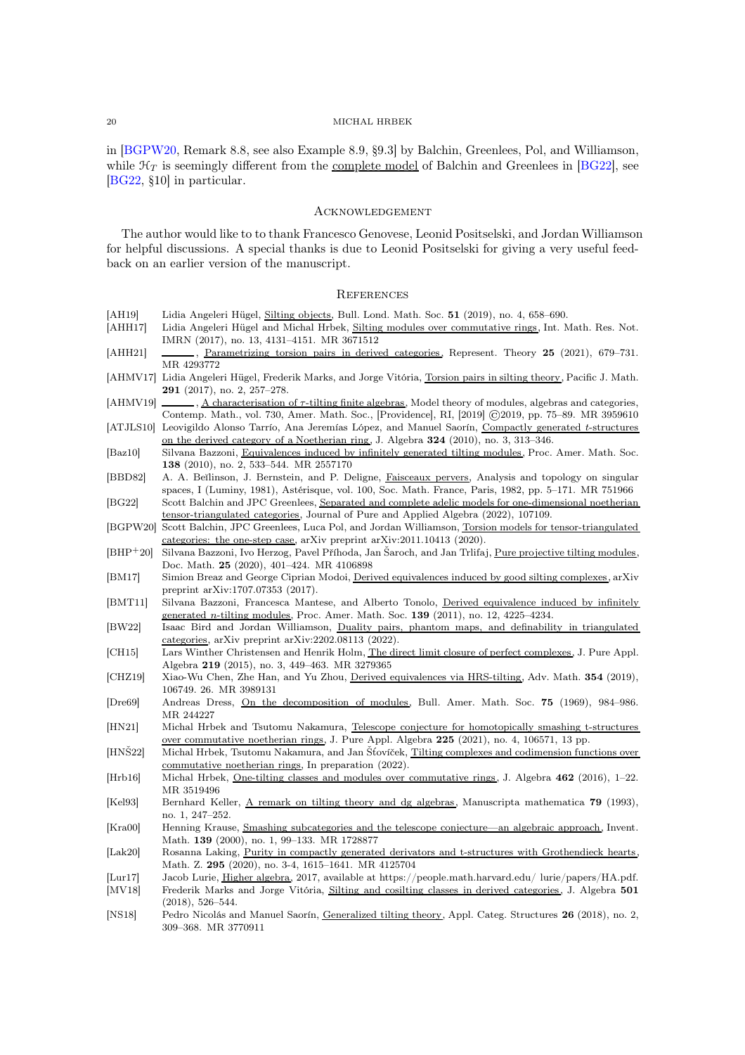in [\[BGPW20,](#page-19-26) Remark 8.8, see also Example 8.9, §9.3] by Balchin, Greenlees, Pol, and Williamson, while  $\mathcal{H}_T$  is seemingly different from the complete model of Balchin and Greenlees in [\[BG22\]](#page-19-27), see [\[BG22,](#page-19-27) §10] in particular.

## <span id="page-19-0"></span>Acknowledgement

The author would like to to thank Francesco Genovese, Leonid Positselski, and Jordan Williamson for helpful discussions. A special thanks is due to Leonid Positselski for giving a very useful feedback on an earlier version of the manuscript.

### <span id="page-19-1"></span>**REFERENCES**

<span id="page-19-27"></span><span id="page-19-26"></span><span id="page-19-25"></span><span id="page-19-24"></span><span id="page-19-23"></span><span id="page-19-22"></span><span id="page-19-21"></span><span id="page-19-20"></span><span id="page-19-19"></span><span id="page-19-18"></span><span id="page-19-17"></span><span id="page-19-16"></span><span id="page-19-15"></span><span id="page-19-14"></span><span id="page-19-13"></span><span id="page-19-12"></span><span id="page-19-11"></span><span id="page-19-10"></span><span id="page-19-9"></span><span id="page-19-8"></span><span id="page-19-7"></span><span id="page-19-6"></span><span id="page-19-5"></span><span id="page-19-4"></span><span id="page-19-3"></span><span id="page-19-2"></span>

| [AH19]                       | Lidia Angeleri Hügel, Silting objects, Bull. Lond. Math. Soc. 51 (2019), no. 4, 658–690.                                                                                            |
|------------------------------|-------------------------------------------------------------------------------------------------------------------------------------------------------------------------------------|
| [AHH17]                      | Lidia Angeleri Hügel and Michal Hrbek, Silting modules over commutative rings, Int. Math. Res. Not.                                                                                 |
|                              | IMRN (2017), no. 13, 4131-4151. MR 3671512                                                                                                                                          |
| [AHH21]                      | , Parametrizing torsion pairs in derived categories, Represent. Theory 25 (2021), 679–731.                                                                                          |
|                              | MR 4293772                                                                                                                                                                          |
|                              | [AHMV17] Lidia Angeleri Hügel, Frederik Marks, and Jorge Vitória, Torsion pairs in silting theory, Pacific J. Math.<br><b>291</b> (2017), no. 2, 257–278.                           |
| $[AHMV19]$ $-$               | $\ldots$ , A characterisation of $\tau$ -tilting finite algebras, Model theory of modules, algebras and categories,                                                                 |
|                              | Contemp. Math., vol. 730, Amer. Math. Soc., [Providence], RI, [2019] ©2019, pp. 75–89. MR 3959610                                                                                   |
|                              | [ATJLS10] Leovigildo Alonso Tarrío, Ana Jeremías López, and Manuel Saorín, Compactly generated t-structures                                                                         |
|                              | on the derived category of a Noetherian ring, J. Algebra 324 (2010), no. 3, 313–346.                                                                                                |
| $[{\rm Baz10}]$              | Silvana Bazzoni, Equivalences induced by infinitely generated tilting modules, Proc. Amer. Math. Soc.                                                                               |
|                              | <b>138</b> (2010), no. 2, 533–544. MR 2557170                                                                                                                                       |
| [BBD82]                      | A. A. Beilinson, J. Bernstein, and P. Deligne, Faisceaux pervers, Analysis and topology on singular                                                                                 |
|                              | spaces, I (Luminy, 1981), Astérisque, vol. 100, Soc. Math. France, Paris, 1982, pp. 5–171. MR 751966                                                                                |
| [BG22]                       | Scott Balchin and JPC Greenlees, Separated and complete adelic models for one-dimensional noetherian                                                                                |
|                              | tensor-triangulated categories, Journal of Pure and Applied Algebra (2022), 107109.                                                                                                 |
|                              | [BGPW20] Scott Balchin, JPC Greenlees, Luca Pol, and Jordan Williamson, Torsion models for tensor-triangulated                                                                      |
| $[BHP^+20]$                  | categories: the one-step case, arXiv preprint arXiv:2011.10413 (2020).<br>Silvana Bazzoni, Ivo Herzog, Pavel Příhoda, Jan Saroch, and Jan Trlifaj, Pure projective tilting modules, |
|                              | Doc. Math. $25$ (2020), 401-424. MR 4106898                                                                                                                                         |
| [BM17]                       | Simion Breaz and George Ciprian Modoi, Derived equivalences induced by good silting complexes, arXiv                                                                                |
|                              | preprint arXiv:1707.07353 (2017).                                                                                                                                                   |
| BMT11                        | Silvana Bazzoni, Francesca Mantese, and Alberto Tonolo, Derived equivalence induced by infinitely                                                                                   |
|                              | <u>generated <i>n</i>-tilting modules</u> , Proc. Amer. Math. Soc. <b>139</b> (2011), no. 12, 4225–4234.                                                                            |
| [BW22]                       | Isaac Bird and Jordan Williamson, Duality pairs, phantom maps, and definability in triangulated                                                                                     |
|                              | categories, arXiv preprint $arXiv:2202.08113$ (2022).                                                                                                                               |
| [CH15]                       | Lars Winther Christensen and Henrik Holm, The direct limit closure of perfect complexes, J. Pure Appl.                                                                              |
|                              | Algebra 219 (2015), no. 3, 449-463. MR 3279365                                                                                                                                      |
| [CHZ19]                      | Xiao-Wu Chen, Zhe Han, and Yu Zhou, Derived equivalences via HRS-tilting, Adv. Math. 354 (2019),                                                                                    |
| $[Dr{e}69]$                  | 106749. 26. MR 3989131<br>Andreas Dress, On the decomposition of modules, Bull. Amer. Math. Soc. 75 (1969), 984–986.                                                                |
|                              | MR 244227                                                                                                                                                                           |
| [HN21]                       | Michal Hrbek and Tsutomu Nakamura, Telescope conjecture for homotopically smashing t-structures                                                                                     |
|                              | over commutative noetherian rings, J. Pure Appl. Algebra 225 (2021), no. 4, 106571, 13 pp.                                                                                          |
| $[HNS22]$                    |                                                                                                                                                                                     |
|                              | Michal Hrbek, Tsutomu Nakamura, and Jan Stovíček, Tilting complexes and codimension functions over                                                                                  |
| [Hrb16]                      | commutative noetherian rings, In preparation (2022).                                                                                                                                |
|                              | Michal Hrbek, One-tilting classes and modules over commutative rings, J. Algebra 462 (2016), 1-22.                                                                                  |
|                              | MR 3519496                                                                                                                                                                          |
| [Kel93]                      | Bernhard Keller, A remark on tilting theory and dg algebras, Manuscripta mathematica 79 (1993),                                                                                     |
|                              | no. 1, 247-252.                                                                                                                                                                     |
| [Kra00]                      | Henning Krause, Smashing subcategories and the telescope conjecture—an algebraic approach, Invent.                                                                                  |
|                              | Math. 139 (2000), no. 1, 99–133. MR 1728877                                                                                                                                         |
| [Lak20]                      | Rosanna Laking, Purity in compactly generated derivators and t-structures with Grothendieck hearts,                                                                                 |
|                              | Math. Z. 295 (2020), no. 3-4, 1615–1641. MR 4125704                                                                                                                                 |
| $\left[ \text{Lur17}\right]$ | Jacob Lurie, Higher algebra, 2017, available at https://people.math.harvard.edu/ lurie/papers/HA.pdf.                                                                               |
| $\left[ \text{MV18} \right]$ | Frederik Marks and Jorge Vitória, Silting and cosilting classes in derived categories, J. Algebra 501<br>$(2018), 526-544.$                                                         |
| [NS18]                       | Pedro Nicolás and Manuel Saorín, Generalized tilting theory, Appl. Categ. Structures 26 (2018), no. 2,                                                                              |